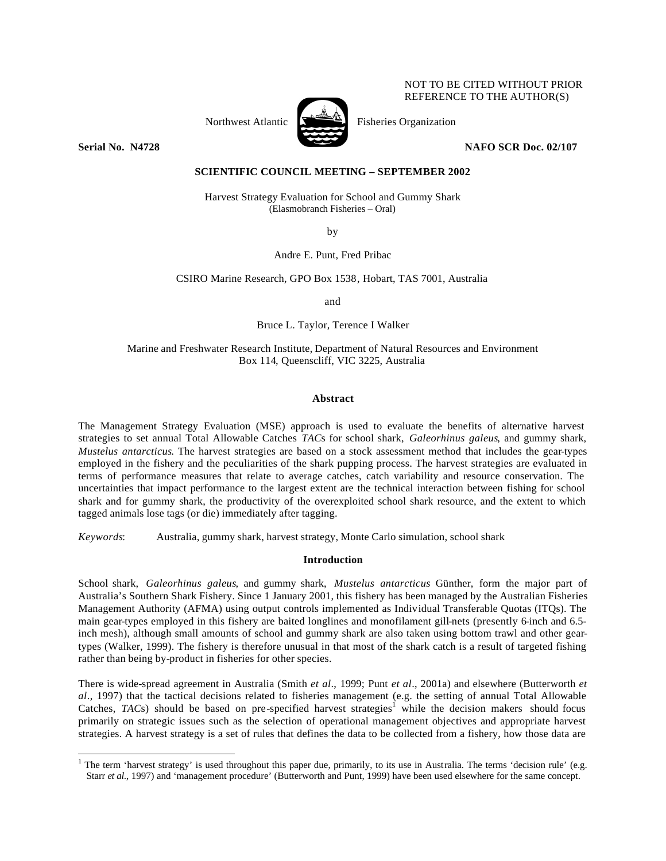# NOT TO BE CITED WITHOUT PRIOR REFERENCE TO THE AUTHOR(S)



Northwest Atlantic  $\sum_{n=1}^{\infty}$  Fisheries Organization

**Serial No. N4728 NAFO SCR Doc. 02/107**

# **SCIENTIFIC COUNCIL MEETING – SEPTEMBER 2002**

Harvest Strategy Evaluation for School and Gummy Shark (Elasmobranch Fisheries – Oral)

by

Andre E. Punt, Fred Pribac

CSIRO Marine Research, GPO Box 1538, Hobart, TAS 7001, Australia

and

Bruce L. Taylor, Terence I Walker

Marine and Freshwater Research Institute, Department of Natural Resources and Environment Box 114, Queenscliff, VIC 3225, Australia

### **Abstract**

The Management Strategy Evaluation (MSE) approach is used to evaluate the benefits of alternative harvest strategies to set annual Total Allowable Catches *TAC*s for school shark, *Galeorhinus galeus*, and gummy shark, *Mustelus antarcticus*. The harvest strategies are based on a stock assessment method that includes the gear-types employed in the fishery and the peculiarities of the shark pupping process. The harvest strategies are evaluated in terms of performance measures that relate to average catches, catch variability and resource conservation. The uncertainties that impact performance to the largest extent are the technical interaction between fishing for school shark and for gummy shark, the productivity of the overexploited school shark resource, and the extent to which tagged animals lose tags (or die) immediately after tagging.

*Keywords*: Australia, gummy shark, harvest strategy, Monte Carlo simulation, school shark

 $\overline{a}$ 

# **Introduction**

School shark, *Galeorhinus galeus*, and gummy shark, *Mustelus antarcticus* Günther, form the major part of Australia's Southern Shark Fishery. Since 1 January 2001, this fishery has been managed by the Australian Fisheries Management Authority (AFMA) using output controls implemented as Individual Transferable Quotas (ITQs). The main gear-types employed in this fishery are baited longlines and monofilament gill-nets (presently 6-inch and 6.5 inch mesh), although small amounts of school and gummy shark are also taken using bottom trawl and other geartypes (Walker, 1999). The fishery is therefore unusual in that most of the shark catch is a result of targeted fishing rather than being by-product in fisheries for other species.

There is wide-spread agreement in Australia (Smith *et al*., 1999; Punt *et al*., 2001a) and elsewhere (Butterworth *et al*., 1997) that the tactical decisions related to fisheries management (e.g. the setting of annual Total Allowable Catches,  $TACs$ ) should be based on pre-specified harvest strategies<sup>1</sup> while the decision makers should focus primarily on strategic issues such as the selection of operational management objectives and appropriate harvest strategies. A harvest strategy is a set of rules that defines the data to be collected from a fishery, how those data are

<sup>&</sup>lt;sup>1</sup> The term 'harvest strategy' is used throughout this paper due, primarily, to its use in Australia. The terms 'decision rule' (e.g. Starr *et al*., 1997) and 'management procedure' (Butterworth and Punt, 1999) have been used elsewhere for the same concept.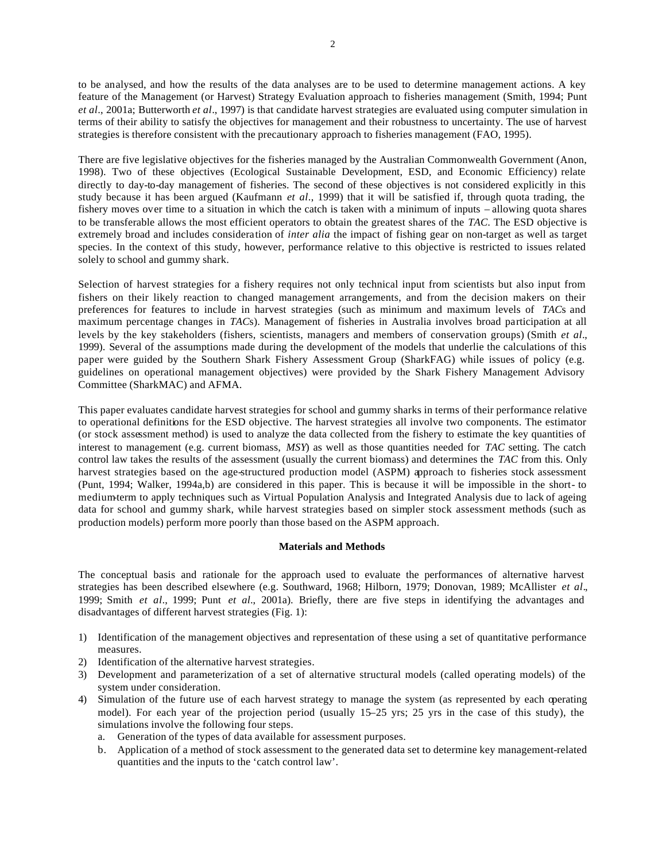to be analysed, and how the results of the data analyses are to be used to determine management actions. A key feature of the Management (or Harvest) Strategy Evaluation approach to fisheries management (Smith, 1994; Punt *et al*., 2001a; Butterworth *et al*., 1997) is that candidate harvest strategies are evaluated using computer simulation in terms of their ability to satisfy the objectives for management and their robustness to uncertainty. The use of harvest strategies is therefore consistent with the precautionary approach to fisheries management (FAO, 1995).

There are five legislative objectives for the fisheries managed by the Australian Commonwealth Government (Anon, 1998). Two of these objectives (Ecological Sustainable Development, ESD, and Economic Efficiency) relate directly to day-to-day management of fisheries. The second of these objectives is not considered explicitly in this study because it has been argued (Kaufmann *et al*., 1999) that it will be satisfied if, through quota trading, the fishery moves over time to a situation in which the catch is taken with a minimum of inputs – allowing quota shares to be transferable allows the most efficient operators to obtain the greatest shares of the *TAC*. The ESD objective is extremely broad and includes consideration of *inter alia* the impact of fishing gear on non-target as well as target species. In the context of this study, however, performance relative to this objective is restricted to issues related solely to school and gummy shark.

Selection of harvest strategies for a fishery requires not only technical input from scientists but also input from fishers on their likely reaction to changed management arrangements, and from the decision makers on their preferences for features to include in harvest strategies (such as minimum and maximum levels of *TAC*s and maximum percentage changes in *TAC*s). Management of fisheries in Australia involves broad participation at all levels by the key stakeholders (fishers, scientists, managers and members of conservation groups) (Smith *et al*., 1999). Several of the assumptions made during the development of the models that underlie the calculations of this paper were guided by the Southern Shark Fishery Assessment Group (SharkFAG) while issues of policy (e.g. guidelines on operational management objectives) were provided by the Shark Fishery Management Advisory Committee (SharkMAC) and AFMA.

This paper evaluates candidate harvest strategies for school and gummy sharks in terms of their performance relative to operational definitions for the ESD objective. The harvest strategies all involve two components. The estimator (or stock assessment method) is used to analyze the data collected from the fishery to estimate the key quantities of interest to management (e.g. current biomass, *MSY*) as well as those quantities needed for *TAC* setting. The catch control law takes the results of the assessment (usually the current biomass) and determines the *TAC* from this. Only harvest strategies based on the age-structured production model (ASPM) approach to fisheries stock assessment (Punt, 1994; Walker, 1994a,b) are considered in this paper. This is because it will be impossible in the short- to medium-term to apply techniques such as Virtual Population Analysis and Integrated Analysis due to lack of ageing data for school and gummy shark, while harvest strategies based on simpler stock assessment methods (such as production models) perform more poorly than those based on the ASPM approach.

# **Materials and Methods**

The conceptual basis and rationale for the approach used to evaluate the performances of alternative harvest strategies has been described elsewhere (e.g. Southward, 1968; Hilborn, 1979; Donovan, 1989; McAllister *et al*., 1999; Smith *et al*., 1999; Punt *et al*., 2001a). Briefly, there are five steps in identifying the advantages and disadvantages of different harvest strategies (Fig. 1):

- 1) Identification of the management objectives and representation of these using a set of quantitative performance measures.
- 2) Identification of the alternative harvest strategies.
- 3) Development and parameterization of a set of alternative structural models (called operating models) of the system under consideration.
- 4) Simulation of the future use of each harvest strategy to manage the system (as represented by each operating model). For each year of the projection period (usually 15–25 yrs; 25 yrs in the case of this study), the simulations involve the following four steps.
	- a. Generation of the types of data available for assessment purposes.
	- b. Application of a method of stock assessment to the generated data set to determine key management-related quantities and the inputs to the 'catch control law'.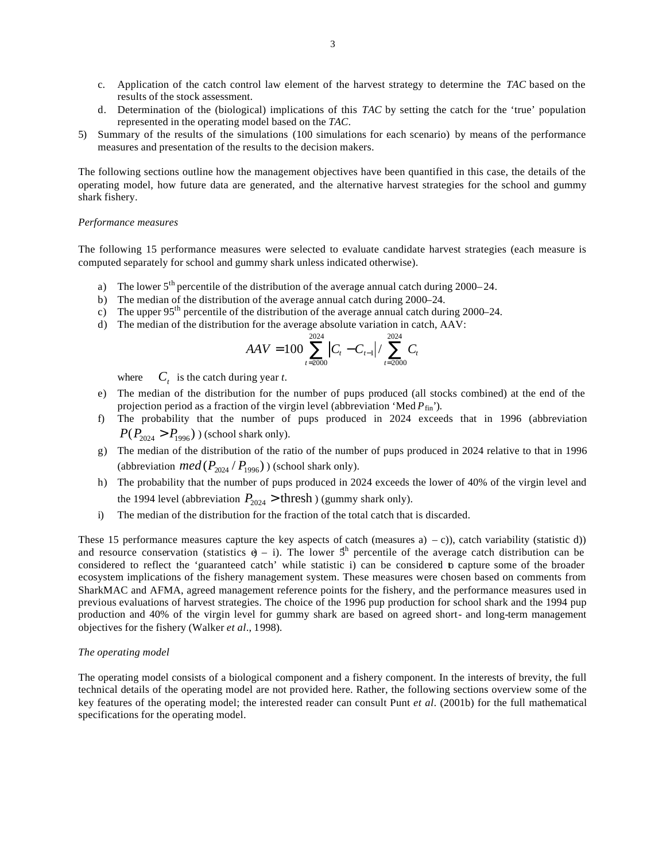- c. Application of the catch control law element of the harvest strategy to determine the *TAC* based on the results of the stock assessment.
- d. Determination of the (biological) implications of this *TAC* by setting the catch for the 'true' population represented in the operating model based on the *TAC*.
- 5) Summary of the results of the simulations (100 simulations for each scenario) by means of the performance measures and presentation of the results to the decision makers.

The following sections outline how the management objectives have been quantified in this case, the details of the operating model, how future data are generated, and the alternative harvest strategies for the school and gummy shark fishery.

#### *Performance measures*

The following 15 performance measures were selected to evaluate candidate harvest strategies (each measure is computed separately for school and gummy shark unless indicated otherwise).

- a) The lower  $5<sup>th</sup>$  percentile of the distribution of the average annual catch during 2000–24.
- b) The median of the distribution of the average annual catch during 2000–24.
- c) The upper  $95<sup>th</sup>$  percentile of the distribution of the average annual catch during 2000–24.
- d) The median of the distribution for the average absolute variation in catch, AAV:

$$
AAV = 100 \sum_{t=2000}^{2024} |C_t - C_{t-1}| / \sum_{t=2000}^{2024} C_t
$$

 $where$  $C_t$  is the catch during year *t*.

- e) The median of the distribution for the number of pups produced (all stocks combined) at the end of the projection period as a fraction of the virgin level (abbreviation 'Med  $P_{fin}$ ').
- f) The probability that the number of pups produced in 2024 exceeds that in 1996 (abbreviation  $P(P_{2024} > P_{1996})$  (school shark only).
- g) The median of the distribution of the ratio of the number of pups produced in 2024 relative to that in 1996 (abbreviation  $med(P_{2024} / P_{1996})$ ) (school shark only).
- h) The probability that the number of pups produced in 2024 exceeds the lower of 40% of the virgin level and the 1994 level (abbreviation  $P_{2024}$  > thresh) (gummy shark only).
- i) The median of the distribution for the fraction of the total catch that is discarded.

These 15 performance measures capture the key aspects of catch (measures a) – c)), catch variability (statistic d)) and resource conservation (statistics  $\theta$  – i). The lower  $5<sup>th</sup>$  percentile of the average catch distribution can be considered to reflect the 'guaranteed catch' while statistic i) can be considered to capture some of the broader ecosystem implications of the fishery management system. These measures were chosen based on comments from SharkMAC and AFMA, agreed management reference points for the fishery, and the performance measures used in previous evaluations of harvest strategies. The choice of the 1996 pup production for school shark and the 1994 pup production and 40% of the virgin level for gummy shark are based on agreed short- and long-term management objectives for the fishery (Walker *et al*., 1998).

### *The operating model*

The operating model consists of a biological component and a fishery component. In the interests of brevity, the full technical details of the operating model are not provided here. Rather, the following sections overview some of the key features of the operating model; the interested reader can consult Punt *et al*. (2001b) for the full mathematical specifications for the operating model.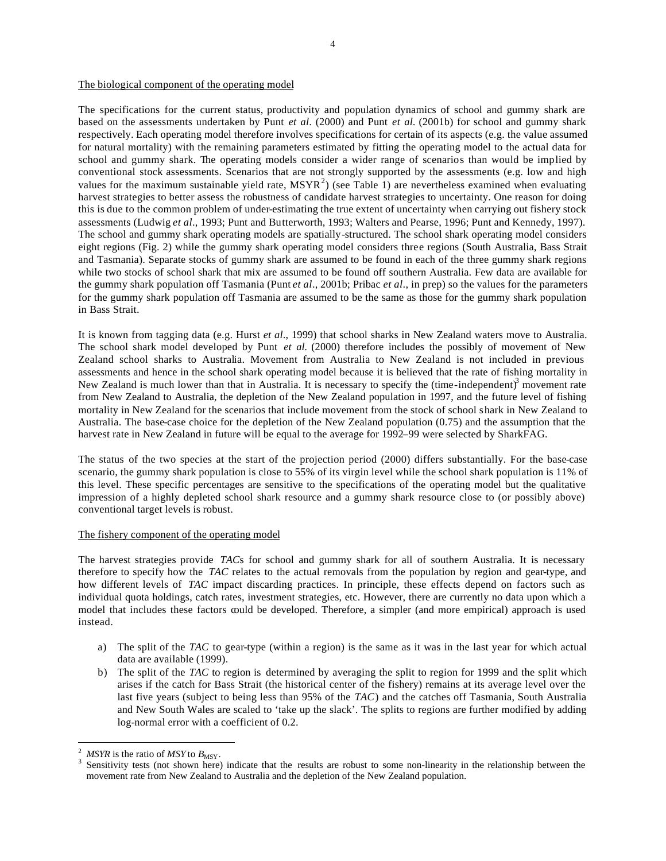# The biological component of the operating model

The specifications for the current status, productivity and population dynamics of school and gummy shark are based on the assessments undertaken by Punt *et al*. (2000) and Punt *et al.* (2001b) for school and gummy shark respectively. Each operating model therefore involves specifications for certain of its aspects (e.g. the value assumed for natural mortality) with the remaining parameters estimated by fitting the operating model to the actual data for school and gummy shark. The operating models consider a wider range of scenarios than would be implied by conventional stock assessments. Scenarios that are not strongly supported by the assessments (e.g. low and high values for the maximum sustainable yield rate,  $MSYR^2$ ) (see Table 1) are nevertheless examined when evaluating harvest strategies to better assess the robustness of candidate harvest strategies to uncertainty. One reason for doing this is due to the common problem of under-estimating the true extent of uncertainty when carrying out fishery stock assessments (Ludwig *et al*., 1993; Punt and Butterworth, 1993; Walters and Pearse, 1996; Punt and Kennedy, 1997). The school and gummy shark operating models are spatially-structured. The school shark operating model considers eight regions (Fig. 2) while the gummy shark operating model considers three regions (South Australia, Bass Strait and Tasmania). Separate stocks of gummy shark are assumed to be found in each of the three gummy shark regions while two stocks of school shark that mix are assumed to be found off southern Australia. Few data are available for the gummy shark population off Tasmania (Punt *et al*., 2001b; Pribac *et al*., in prep) so the values for the parameters for the gummy shark population off Tasmania are assumed to be the same as those for the gummy shark population in Bass Strait.

It is known from tagging data (e.g. Hurst *et al*., 1999) that school sharks in New Zealand waters move to Australia. The school shark model developed by Punt *et al.* (2000) therefore includes the possibly of movement of New Zealand school sharks to Australia. Movement from Australia to New Zealand is not included in previous assessments and hence in the school shark operating model because it is believed that the rate of fishing mortality in New Zealand is much lower than that in Australia. It is necessary to specify the (time-independent)<sup>3</sup> movement rate from New Zealand to Australia, the depletion of the New Zealand population in 1997, and the future level of fishing mortality in New Zealand for the scenarios that include movement from the stock of school shark in New Zealand to Australia. The base-case choice for the depletion of the New Zealand population (0.75) and the assumption that the harvest rate in New Zealand in future will be equal to the average for 1992–99 were selected by SharkFAG.

The status of the two species at the start of the projection period (2000) differs substantially. For the base-case scenario, the gummy shark population is close to 55% of its virgin level while the school shark population is 11% of this level. These specific percentages are sensitive to the specifications of the operating model but the qualitative impression of a highly depleted school shark resource and a gummy shark resource close to (or possibly above) conventional target levels is robust.

# The fishery component of the operating model

The harvest strategies provide *TAC*s for school and gummy shark for all of southern Australia. It is necessary therefore to specify how the *TAC* relates to the actual removals from the population by region and gear-type, and how different levels of *TAC* impact discarding practices. In principle, these effects depend on factors such as individual quota holdings, catch rates, investment strategies, etc. However, there are currently no data upon which a model that includes these factors could be developed. Therefore, a simpler (and more empirical) approach is used instead.

- a) The split of the *TAC* to gear-type (within a region) is the same as it was in the last year for which actual data are available (1999).
- b) The split of the *TAC* to region is determined by averaging the split to region for 1999 and the split which arises if the catch for Bass Strait (the historical center of the fishery) remains at its average level over the last five years (subject to being less than 95% of the *TAC*) and the catches off Tasmania, South Australia and New South Wales are scaled to 'take up the slack'. The splits to regions are further modified by adding log-normal error with a coefficient of 0.2.

 $\overline{a}$ 

 $MSYR$  is the ratio of  $MSY$  to  $B_{MSY}$ .

Sensitivity tests (not shown here) indicate that the results are robust to some non-linearity in the relationship between the movement rate from New Zealand to Australia and the depletion of the New Zealand population.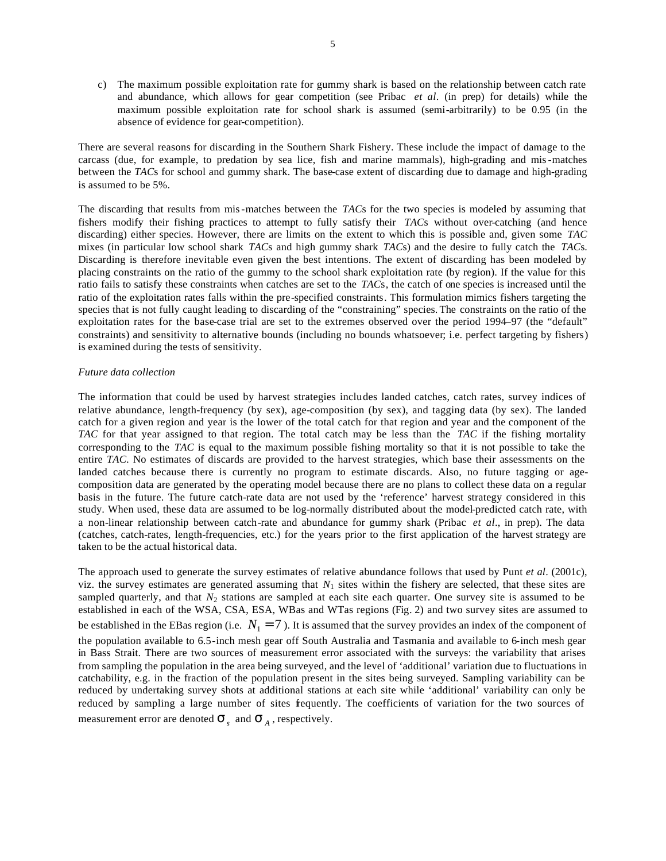c) The maximum possible exploitation rate for gummy shark is based on the relationship between catch rate and abundance, which allows for gear competition (see Pribac *et al*. (in prep) for details) while the maximum possible exploitation rate for school shark is assumed (semi-arbitrarily) to be 0.95 (in the absence of evidence for gear-competition).

There are several reasons for discarding in the Southern Shark Fishery. These include the impact of damage to the carcass (due, for example, to predation by sea lice, fish and marine mammals), high-grading and mis-matches between the *TAC*s for school and gummy shark. The base-case extent of discarding due to damage and high-grading is assumed to be 5%.

The discarding that results from mis-matches between the *TAC*s for the two species is modeled by assuming that fishers modify their fishing practices to attempt to fully satisfy their *TAC*s without over-catching (and hence discarding) either species. However, there are limits on the extent to which this is possible and, given some *TAC* mixes (in particular low school shark *TAC*s and high gummy shark *TAC*s) and the desire to fully catch the *TAC*s. Discarding is therefore inevitable even given the best intentions. The extent of discarding has been modeled by placing constraints on the ratio of the gummy to the school shark exploitation rate (by region). If the value for this ratio fails to satisfy these constraints when catches are set to the *TAC*s, the catch of one species is increased until the ratio of the exploitation rates falls within the pre-specified constraints. This formulation mimics fishers targeting the species that is not fully caught leading to discarding of the "constraining" species. The constraints on the ratio of the exploitation rates for the base-case trial are set to the extremes observed over the period 1994–97 (the "default" constraints) and sensitivity to alternative bounds (including no bounds whatsoever; i.e. perfect targeting by fishers) is examined during the tests of sensitivity.

### *Future data collection*

The information that could be used by harvest strategies includes landed catches, catch rates, survey indices of relative abundance, length-frequency (by sex), age-composition (by sex), and tagging data (by sex). The landed catch for a given region and year is the lower of the total catch for that region and year and the component of the *TAC* for that year assigned to that region. The total catch may be less than the *TAC* if the fishing mortality corresponding to the *TAC* is equal to the maximum possible fishing mortality so that it is not possible to take the entire *TAC*. No estimates of discards are provided to the harvest strategies, which base their assessments on the landed catches because there is currently no program to estimate discards. Also, no future tagging or agecomposition data are generated by the operating model because there are no plans to collect these data on a regular basis in the future. The future catch-rate data are not used by the 'reference' harvest strategy considered in this study. When used, these data are assumed to be log-normally distributed about the model-predicted catch rate, with a non-linear relationship between catch-rate and abundance for gummy shark (Pribac *et al*., in prep). The data (catches, catch-rates, length-frequencies, etc.) for the years prior to the first application of the harvest strategy are taken to be the actual historical data.

The approach used to generate the survey estimates of relative abundance follows that used by Punt *et al*. (2001c), viz. the survey estimates are generated assuming that  $N_1$  sites within the fishery are selected, that these sites are sampled quarterly, and that  $N_2$  stations are sampled at each site each quarter. One survey site is assumed to be established in each of the WSA, CSA, ESA, WBas and WTas regions (Fig. 2) and two survey sites are assumed to be established in the EBas region (i.e.  $N_1 = 7$ ). It is assumed that the survey provides an index of the component of the population available to 6.5-inch mesh gear off South Australia and Tasmania and available to 6-inch mesh gear in Bass Strait. There are two sources of measurement error associated with the surveys: the variability that arises from sampling the population in the area being surveyed, and the level of 'additional' variation due to fluctuations in catchability, e.g. in the fraction of the population present in the sites being surveyed. Sampling variability can be reduced by undertaking survey shots at additional stations at each site while 'additional' variability can only be reduced by sampling a large number of sites frequently. The coefficients of variation for the two sources of measurement error are denoted  $\boldsymbol{S}_s$  and  $\boldsymbol{S}_A$ , respectively.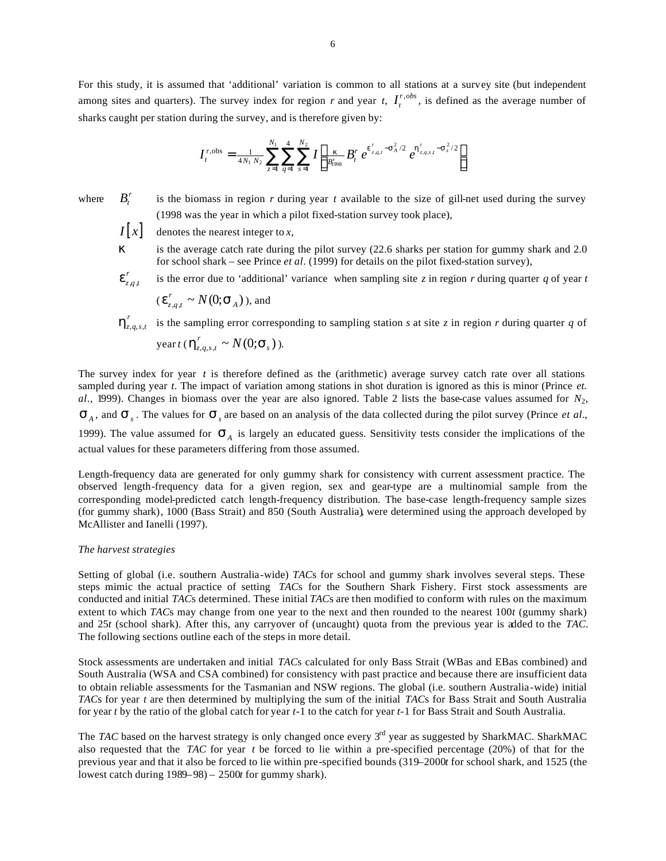For this study, it is assumed that 'additional' variation is common to all stations at a survey site (but independent among sites and quarters). The survey index for region *r* and year *t*,  $I_t^{r, obs}$  $I_t^{r,obs}$ , is defined as the average number of sharks caught per station during the survey, and is therefore given by:

$$
I_t^{r, \text{obs}} = \frac{1}{4N_1 N_2} \sum_{z=1}^{N_1} \sum_{q=1}^4 \sum_{s=1}^{N_2} I \left[ \frac{k}{B_{1998}^{r}} B_t^{r} e^{e_{z_{q,t}}^{r} - s_A^{2}/2} e^{h_{z_{q,s,t}}^{r} - s_s^{2}/2} \right]
$$

where

 $B_t^r$ 

is the biomass in region *r* during year *t* available to the size of gill-net used during the survey (1998 was the year in which a pilot fixed-station survey took place),

 $I[x]$  denotes the nearest integer to *x*,

*k* is the average catch rate during the pilot survey (22.6 sharks per station for gummy shark and 2.0 for school shark – see Prince *et al*. (1999) for details on the pilot fixed-station survey),

 $a<sub>j</sub>$ *r* is the error due to 'additional' variance when sampling site *z* in region *r* during quarter *q* of year *t* 

$$
(\mathbf{e}_{z,q,t}^r \sim N(0;\mathbf{S}_A))
$$
, and

 $,q,s,$  $h_{z,q,s,t}^r$  is the sampling error corresponding to sampling station *s* at site *z* in region *r* during quarter *q* of  $\text{year } t \in \mathbf{h}_{z,q,s,t}^r \sim N(0; \mathbf{s}_s)$ ).

The survey index for year *t* is therefore defined as the (arithmetic) average survey catch rate over all stations sampled during year *t*. The impact of variation among stations in shot duration is ignored as this is minor (Prince *et. al*., 1999). Changes in biomass over the year are also ignored. Table 2 lists the base-case values assumed for *N*2,  $S_A$ , and  $S_s$ . The values for  $S_s$  are based on an analysis of the data collected during the pilot survey (Prince *et al.*, 1999). The value assumed for  $S_A$  is largely an educated guess. Sensitivity tests consider the implications of the actual values for these parameters differing from those assumed.

Length-frequency data are generated for only gummy shark for consistency with current assessment practice. The observed length-frequency data for a given region, sex and gear-type are a multinomial sample from the corresponding model-predicted catch length-frequency distribution. The base-case length-frequency sample sizes (for gummy shark), 1000 (Bass Strait) and 850 (South Australia), were determined using the approach developed by McAllister and Ianelli (1997).

### *The harvest strategies*

Setting of global (i.e. southern Australia-wide) *TAC*s for school and gummy shark involves several steps. These steps mimic the actual practice of setting *TAC*s for the Southern Shark Fishery. First stock assessments are conducted and initial *TAC*s determined. These initial *TAC*s are then modified to conform with rules on the maximum extent to which *TAC*s may change from one year to the next and then rounded to the nearest 100*t* (gummy shark) and 25*t* (school shark). After this, any carryover of (uncaught) quota from the previous year is added to the *TAC.* The following sections outline each of the steps in more detail.

Stock assessments are undertaken and initial *TAC*s calculated for only Bass Strait (WBas and EBas combined) and South Australia (WSA and CSA combined) for consistency with past practice and because there are insufficient data to obtain reliable assessments for the Tasmanian and NSW regions. The global (i.e. southern Australia-wide) initial *TAC*s for year *t* are then determined by multiplying the sum of the initial *TAC*s for Bass Strait and South Australia for year *t* by the ratio of the global catch for year *t*-1 to the catch for year *t*-1 for Bass Strait and South Australia.

The *TAC* based on the harvest strategy is only changed once every 3<sup>rd</sup> year as suggested by SharkMAC. SharkMAC also requested that the *TAC* for year *t* be forced to lie within a pre-specified percentage (20%) of that for the previous year and that it also be forced to lie within pre-specified bounds (319–2000*t* for school shark, and 1525 (the lowest catch during 1989–98) – 2500*t* for gummy shark).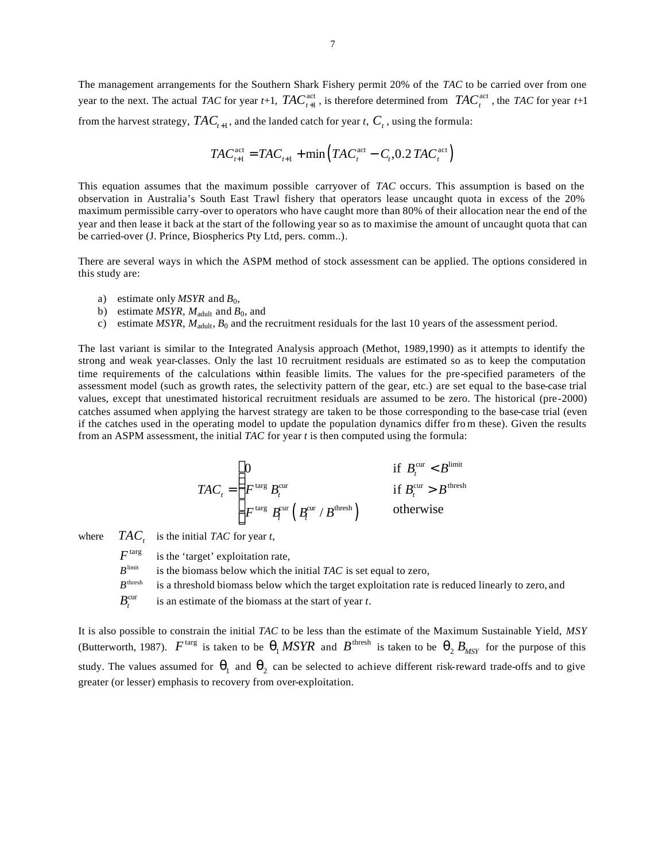The management arrangements for the Southern Shark Fishery permit 20% of the *TAC* to be carried over from one year to the next. The actual *TAC* for year *t*+1,  $TAC_{t+1}^{\text{act}}$ , is therefore determined from  $TAC_t^{\text{act}}$ , the *TAC* for year *t*+1 from the harvest strategy,  $TAC_{t+1}$ , and the landed catch for year *t*,  $C_{t}$  , using the formula:

$$
TAC_{t+1}^{\text{act}} = TAC_{t+1} + \min\left(TAC_t^{\text{act}} - C_t, 0.2 TAC_t^{\text{act}}\right)
$$

This equation assumes that the maximum possible carryover of *TAC* occurs. This assumption is based on the observation in Australia's South East Trawl fishery that operators lease uncaught quota in excess of the 20% maximum permissible carry-over to operators who have caught more than 80% of their allocation near the end of the year and then lease it back at the start of the following year so as to maximise the amount of uncaught quota that can be carried-over (J. Prince, Biospherics Pty Ltd, pers. comm..).

There are several ways in which the ASPM method of stock assessment can be applied. The options considered in this study are:

- a) estimate only *MSYR* and  $B_0$ ,
- b) estimate *MSYR*,  $M_{\text{adult}}$  and  $B_0$ , and
- c) estimate  $MSYR$ ,  $M_{\text{adult}}$ ,  $B_0$  and the recruitment residuals for the last 10 years of the assessment period.

The last variant is similar to the Integrated Analysis approach (Methot, 1989,1990) as it attempts to identify the strong and weak year-classes. Only the last 10 recruitment residuals are estimated so as to keep the computation time requirements of the calculations within feasible limits. The values for the pre-specified parameters of the assessment model (such as growth rates, the selectivity pattern of the gear, etc.) are set equal to the base-case trial values, except that unestimated historical recruitment residuals are assumed to be zero. The historical (pre-2000) catches assumed when applying the harvest strategy are taken to be those corresponding to the base-case trial (even if the catches used in the operating model to update the population dynamics differ fro m these). Given the results from an ASPM assessment, the initial *TAC* for year *t* is then computed using the formula:

$$
TAC_{t} = \begin{cases} 0 & \text{if } B_{t}^{\text{cur}} < B^{\text{limit}} \\ F^{\text{targ}} B_{t}^{\text{cur}} & \text{if } B_{t}^{\text{cur}} > B^{\text{thresh}} \\ F^{\text{targ}} B_{t}^{\text{cur}} \left( B_{t}^{\text{cur}} / B^{\text{thresh}} \right) & \text{otherwise} \end{cases}
$$

where  $TAC_t$  is the initial *TAC* for year *t*,

 $F<sup>targ</sup>$  is the 'target' exploitation rate,

- $B^{\text{limit}}$  is the biomass below which the initial *TAC* is set equal to zero,
- $B<sup>thresh</sup>$  is a threshold biomass below which the target exploitation rate is reduced linearly to zero, and
- $B_{\cdot}^{\text{cur}}$ is an estimate of the biomass at the start of year *t*.

It is also possible to constrain the initial *TAC* to be less than the estimate of the Maximum Sustainable Yield, *MSY* (Butterworth, 1987).  $F^{\text{targ}}$  is taken to be  $q_1 MSYR$  and  $B^{\text{thresh}}$  is taken to be  $q_2 B_{MSY}$  for the purpose of this study. The values assumed for  $q_1$  and  $q_2$  can be selected to achieve different risk-reward trade-offs and to give greater (or lesser) emphasis to recovery from over-exploitation.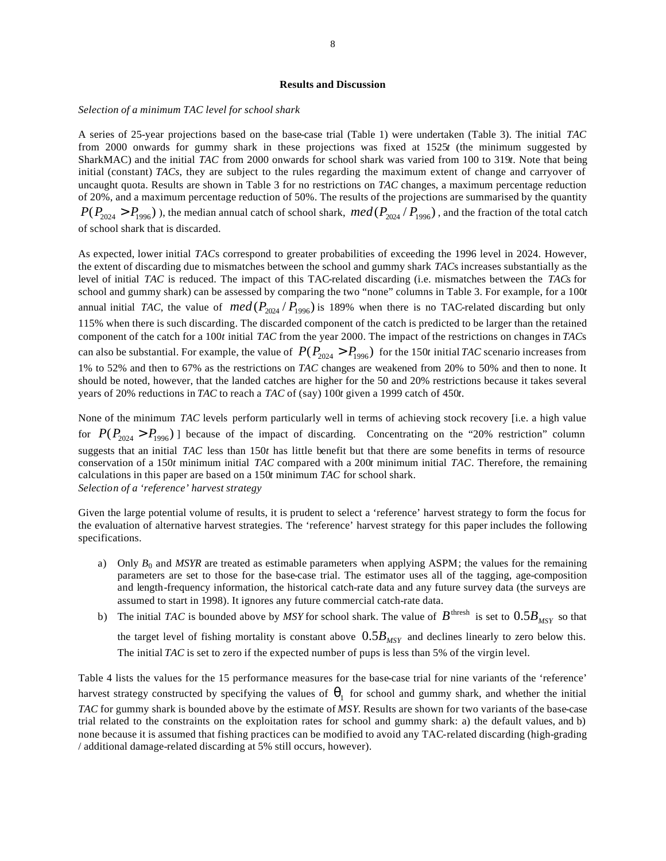#### **Results and Discussion**

#### *Selection of a minimum TAC level for school shark*

A series of 25-year projections based on the base-case trial (Table 1) were undertaken (Table 3). The initial *TAC* from 2000 onwards for gummy shark in these projections was fixed at 1525*t* (the minimum suggested by SharkMAC) and the initial *TAC* from 2000 onwards for school shark was varied from 100 to 319*t*. Note that being initial (constant) *TACs*, they are subject to the rules regarding the maximum extent of change and carryover of uncaught quota. Results are shown in Table 3 for no restrictions on *TAC* changes, a maximum percentage reduction of 20%, and a maximum percentage reduction of 50%. The results of the projections are summarised by the quantity  $P(P_{2024} > P_{1996})$ ), the median annual catch of school shark,  $med(P_{2024} / P_{1996})$ , and the fraction of the total catch of school shark that is discarded.

As expected, lower initial *TAC*s correspond to greater probabilities of exceeding the 1996 level in 2024. However, the extent of discarding due to mismatches between the school and gummy shark *TAC*s increases substantially as the level of initial *TAC* is reduced. The impact of this TAC-related discarding (i.e. mismatches between the *TAC*s for school and gummy shark) can be assessed by comparing the two "none" columns in Table 3. For example, for a 100*t* annual initial *TAC*, the value of  $med(P_{2024} / P_{1996})$  is 189% when there is no TAC-related discarding but only 115% when there is such discarding. The discarded component of the catch is predicted to be larger than the retained component of the catch for a 100*t* initial *TAC* from the year 2000. The impact of the restrictions on changes in *TAC*s can also be substantial. For example, the value of  $P(P_{2024} > P_{1996})$  for the 150t initial *TAC* scenario increases from 1% to 52% and then to 67% as the restrictions on *TAC* changes are weakened from 20% to 50% and then to none. It should be noted, however, that the landed catches are higher for the 50 and 20% restrictions because it takes several years of 20% reductions in *TAC* to reach a *TAC* of (say) 100*t* given a 1999 catch of 450*t*.

None of the minimum *TAC* levels perform particularly well in terms of achieving stock recovery [i.e. a high value for  $P(P_{2024} > P_{1996})$  because of the impact of discarding. Concentrating on the "20% restriction" column suggests that an initial *TAC* less than 150*t* has little benefit but that there are some benefits in terms of resource conservation of a 150*t* minimum initial *TAC* compared with a 200*t* minimum initial *TAC*. Therefore, the remaining calculations in this paper are based on a 150*t* minimum *TAC* for school shark. *Selection of a 'reference' harvest strategy*

Given the large potential volume of results, it is prudent to select a 'reference' harvest strategy to form the focus for the evaluation of alternative harvest strategies. The 'reference' harvest strategy for this paper includes the following specifications.

- a) Only  $B_0$  and *MSYR* are treated as estimable parameters when applying ASPM; the values for the remaining parameters are set to those for the base-case trial. The estimator uses all of the tagging, age-composition and length-frequency information, the historical catch-rate data and any future survey data (the surveys are assumed to start in 1998). It ignores any future commercial catch-rate data.
- b) The initial *TAC* is bounded above by *MSY* for school shark. The value of  $B^{thresh}$  is set to  $0.5B_{MSV}$  so that the target level of fishing mortality is constant above  $0.5B_{MSY}$  and declines linearly to zero below this. The initial *TAC* is set to zero if the expected number of pups is less than 5% of the virgin level.

Table 4 lists the values for the 15 performance measures for the base-case trial for nine variants of the 'reference' harvest strategy constructed by specifying the values of  $q_1$  for school and gummy shark, and whether the initial *TAC* for gummy shark is bounded above by the estimate of *MSY*. Results are shown for two variants of the base-case trial related to the constraints on the exploitation rates for school and gummy shark: a) the default values, and b) none because it is assumed that fishing practices can be modified to avoid any TAC-related discarding (high-grading / additional damage-related discarding at 5% still occurs, however).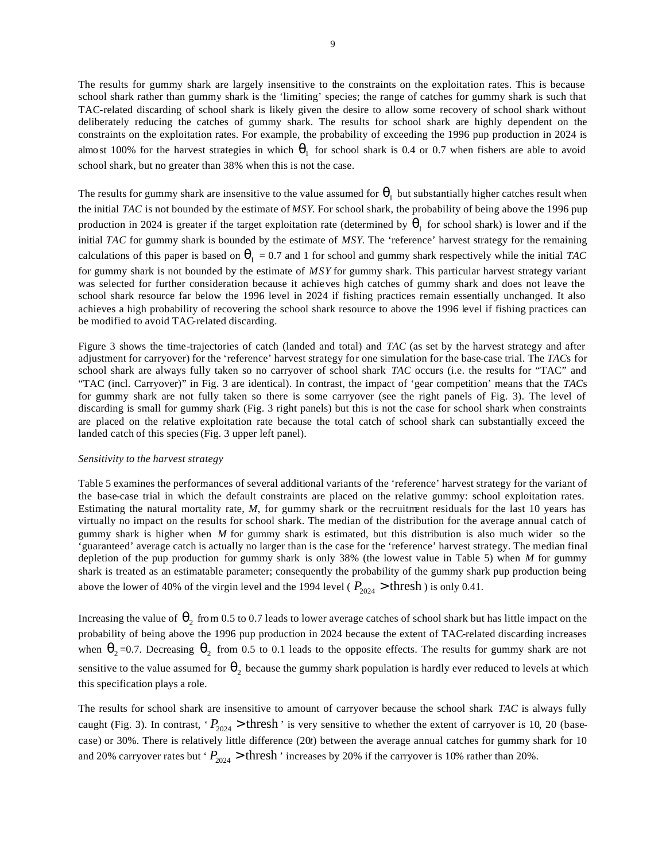The results for gummy shark are largely insensitive to the constraints on the exploitation rates. This is because school shark rather than gummy shark is the 'limiting' species; the range of catches for gummy shark is such that TAC-related discarding of school shark is likely given the desire to allow some recovery of school shark without deliberately reducing the catches of gummy shark. The results for school shark are highly dependent on the constraints on the exploitation rates. For example, the probability of exceeding the 1996 pup production in 2024 is almost 100% for the harvest strategies in which  $q_1$  for school shark is 0.4 or 0.7 when fishers are able to avoid school shark, but no greater than 38% when this is not the case.

The results for gummy shark are insensitive to the value assumed for  $q_1$  but substantially higher catches result when the initial *TAC* is not bounded by the estimate of *MSY*. For school shark, the probability of being above the 1996 pup production in 2024 is greater if the target exploitation rate (determined by  $q_1$  for school shark) is lower and if the initial *TAC* for gummy shark is bounded by the estimate of *MSY*. The 'reference' harvest strategy for the remaining calculations of this paper is based on  $q_1 = 0.7$  and 1 for school and gummy shark respectively while the initial *TAC* for gummy shark is not bounded by the estimate of *MSY* for gummy shark. This particular harvest strategy variant was selected for further consideration because it achieves high catches of gummy shark and does not leave the school shark resource far below the 1996 level in 2024 if fishing practices remain essentially unchanged. It also achieves a high probability of recovering the school shark resource to above the 1996 level if fishing practices can be modified to avoid TAC-related discarding.

Figure 3 shows the time-trajectories of catch (landed and total) and *TAC* (as set by the harvest strategy and after adjustment for carryover) for the 'reference' harvest strategy for one simulation for the base-case trial. The *TAC*s for school shark are always fully taken so no carryover of school shark *TAC* occurs (i.e. the results for "TAC" and "TAC (incl. Carryover)" in Fig. 3 are identical). In contrast, the impact of 'gear competition' means that the *TAC*s for gummy shark are not fully taken so there is some carryover (see the right panels of Fig. 3). The level of discarding is small for gummy shark (Fig. 3 right panels) but this is not the case for school shark when constraints are placed on the relative exploitation rate because the total catch of school shark can substantially exceed the landed catch of this species (Fig. 3 upper left panel).

### *Sensitivity to the harvest strategy*

Table 5 examines the performances of several additional variants of the 'reference' harvest strategy for the variant of the base-case trial in which the default constraints are placed on the relative gummy: school exploitation rates. Estimating the natural mortality rate, *M*, for gummy shark or the recruitment residuals for the last 10 years has virtually no impact on the results for school shark. The median of the distribution for the average annual catch of gummy shark is higher when *M* for gummy shark is estimated, but this distribution is also much wider so the 'guaranteed' average catch is actually no larger than is the case for the 'reference' harvest strategy. The median final depletion of the pup production for gummy shark is only 38% (the lowest value in Table 5) when *M* for gummy shark is treated as an estimatable parameter; consequently the probability of the gummy shark pup production being above the lower of 40% of the virgin level and the 1994 level ( $P_{2024}$  > thresh) is only 0.41.

Increasing the value of  $q_2$  from 0.5 to 0.7 leads to lower average catches of school shark but has little impact on the probability of being above the 1996 pup production in 2024 because the extent of TAC-related discarding increases when  $q_2$ =0.7. Decreasing  $q_2$  from 0.5 to 0.1 leads to the opposite effects. The results for gummy shark are not sensitive to the value assumed for  $q_2$  because the gummy shark population is hardly ever reduced to levels at which this specification plays a role.

The results for school shark are insensitive to amount of carryover because the school shark *TAC* is always fully caught (Fig. 3). In contrast, ' $P_{2024}$  > thresh' is very sensitive to whether the extent of carryover is 10, 20 (basecase) or 30%. There is relatively little difference (20*t*) between the average annual catches for gummy shark for 10 and 20% carryover rates but ' $P_{2024}$  > thresh ' increases by 20% if the carryover is 10% rather than 20%.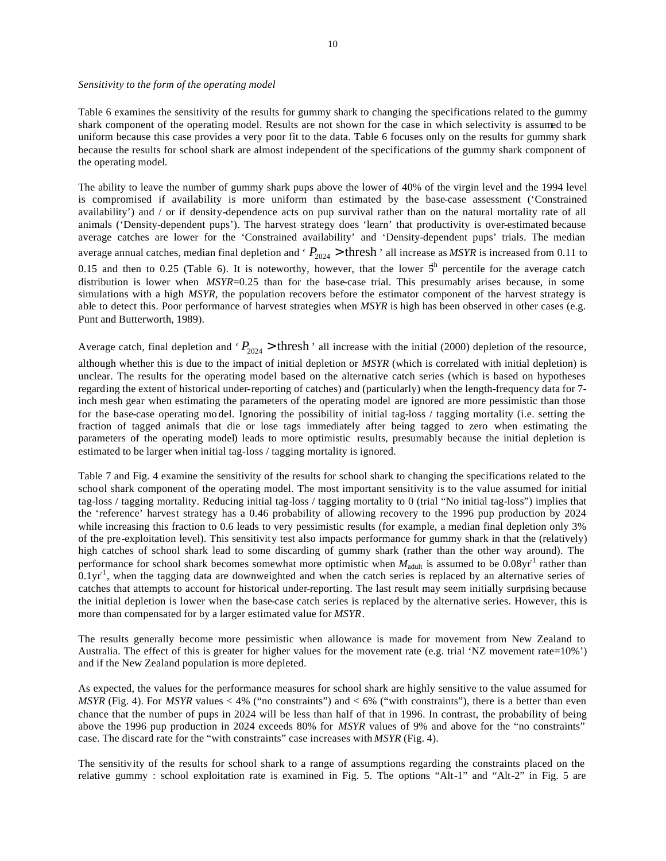### *Sensitivity to the form of the operating model*

Table 6 examines the sensitivity of the results for gummy shark to changing the specifications related to the gummy shark component of the operating model. Results are not shown for the case in which selectivity is assumed to be uniform because this case provides a very poor fit to the data. Table 6 focuses only on the results for gummy shark because the results for school shark are almost independent of the specifications of the gummy shark component of the operating model.

The ability to leave the number of gummy shark pups above the lower of 40% of the virgin level and the 1994 level is compromised if availability is more uniform than estimated by the base-case assessment ('Constrained availability') and / or if density-dependence acts on pup survival rather than on the natural mortality rate of all animals ('Density-dependent pups'). The harvest strategy does 'learn' that productivity is over-estimated because average catches are lower for the 'Constrained availability' and 'Density-dependent pups' trials. The median average annual catches, median final depletion and ' $P_{2024}$  > thresh' all increase as *MSYR* is increased from 0.11 to 0.15 and then to 0.25 (Table 6). It is noteworthy, however, that the lower  $5<sup>h</sup>$  percentile for the average catch distribution is lower when *MSYR*=0.25 than for the base-case trial. This presumably arises because, in some simulations with a high *MSYR*, the population recovers before the estimator component of the harvest strategy is able to detect this. Poor performance of harvest strategies when *MSYR* is high has been observed in other cases (e.g. Punt and Butterworth, 1989).

Average catch, final depletion and ' $P_{2024}$  > thresh' all increase with the initial (2000) depletion of the resource, although whether this is due to the impact of initial depletion or *MSYR* (which is correlated with initial depletion) is unclear. The results for the operating model based on the alternative catch series (which is based on hypotheses regarding the extent of historical under-reporting of catches) and (particularly) when the length-frequency data for 7 inch mesh gear when estimating the parameters of the operating model are ignored are more pessimistic than those for the base-case operating mo del. Ignoring the possibility of initial tag-loss / tagging mortality (i.e. setting the fraction of tagged animals that die or lose tags immediately after being tagged to zero when estimating the parameters of the operating model) leads to more optimistic results, presumably because the initial depletion is estimated to be larger when initial tag-loss / tagging mortality is ignored.

Table 7 and Fig. 4 examine the sensitivity of the results for school shark to changing the specifications related to the school shark component of the operating model. The most important sensitivity is to the value assumed for initial tag-loss / tagging mortality. Reducing initial tag-loss / tagging mortality to 0 (trial "No initial tag-loss") implies that the 'reference' harvest strategy has a 0.46 probability of allowing recovery to the 1996 pup production by 2024 while increasing this fraction to 0.6 leads to very pessimistic results (for example, a median final depletion only 3% of the pre-exploitation level). This sensitivity test also impacts performance for gummy shark in that the (relatively) high catches of school shark lead to some discarding of gummy shark (rather than the other way around). The performance for school shark becomes somewhat more optimistic when  $M_{\text{adult}}$  is assumed to be  $0.08 \text{yr}^{-1}$  rather than  $0.1$ yr<sup>-1</sup>, when the tagging data are downweighted and when the catch series is replaced by an alternative series of catches that attempts to account for historical under-reporting. The last result may seem initially surprising because the initial depletion is lower when the base-case catch series is replaced by the alternative series. However, this is more than compensated for by a larger estimated value for *MSYR*.

The results generally become more pessimistic when allowance is made for movement from New Zealand to Australia. The effect of this is greater for higher values for the movement rate (e.g. trial 'NZ movement rate=10%') and if the New Zealand population is more depleted.

As expected, the values for the performance measures for school shark are highly sensitive to the value assumed for *MSYR* (Fig. 4). For *MSYR* values  $< 4\%$  ("no constraints") and  $< 6\%$  ("with constraints"), there is a better than even chance that the number of pups in 2024 will be less than half of that in 1996. In contrast, the probability of being above the 1996 pup production in 2024 exceeds 80% for *MSYR* values of 9% and above for the "no constraints" case. The discard rate for the "with constraints" case increases with *MSYR* (Fig. 4).

The sensitivity of the results for school shark to a range of assumptions regarding the constraints placed on the relative gummy : school exploitation rate is examined in Fig. 5. The options "Alt-1" and "Alt-2" in Fig. 5 are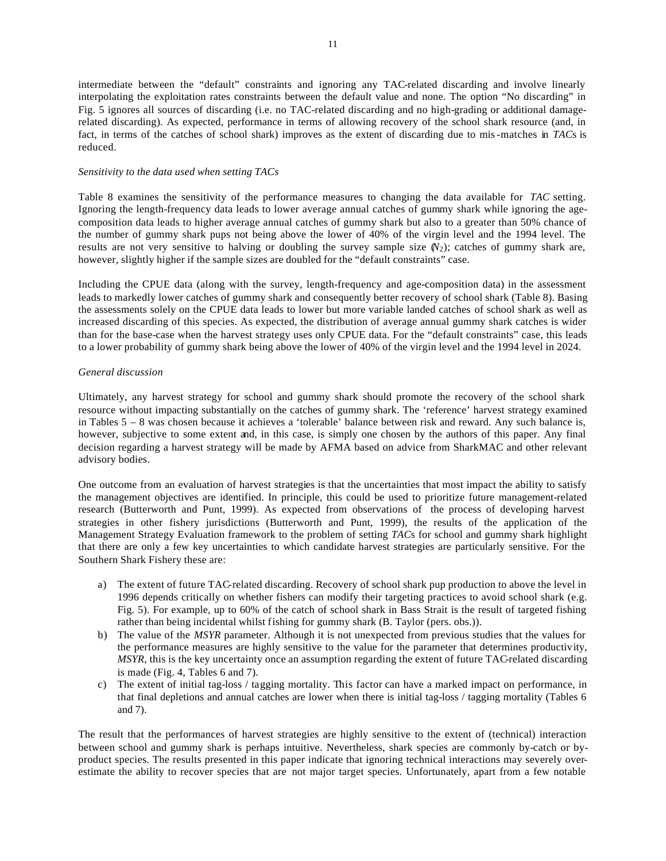intermediate between the "default" constraints and ignoring any TAC-related discarding and involve linearly interpolating the exploitation rates constraints between the default value and none. The option "No discarding" in Fig. 5 ignores all sources of discarding (i.e. no TAC-related discarding and no high-grading or additional damagerelated discarding). As expected, performance in terms of allowing recovery of the school shark resource (and, in fact, in terms of the catches of school shark) improves as the extent of discarding due to mis-matches in *TAC*s is reduced.

# *Sensitivity to the data used when setting TACs*

Table 8 examines the sensitivity of the performance measures to changing the data available for *TAC* setting. Ignoring the length-frequency data leads to lower average annual catches of gummy shark while ignoring the agecomposition data leads to higher average annual catches of gummy shark but also to a greater than 50% chance of the number of gummy shark pups not being above the lower of 40% of the virgin level and the 1994 level. The results are not very sensitive to halving or doubling the survey sample size  $(N_2)$ ; catches of gummy shark are, however, slightly higher if the sample sizes are doubled for the "default constraints" case.

Including the CPUE data (along with the survey, length-frequency and age-composition data) in the assessment leads to markedly lower catches of gummy shark and consequently better recovery of school shark (Table 8). Basing the assessments solely on the CPUE data leads to lower but more variable landed catches of school shark as well as increased discarding of this species. As expected, the distribution of average annual gummy shark catches is wider than for the base-case when the harvest strategy uses only CPUE data. For the "default constraints" case, this leads to a lower probability of gummy shark being above the lower of 40% of the virgin level and the 1994 level in 2024.

# *General discussion*

Ultimately, any harvest strategy for school and gummy shark should promote the recovery of the school shark resource without impacting substantially on the catches of gummy shark. The 'reference' harvest strategy examined in Tables 5 – 8 was chosen because it achieves a 'tolerable' balance between risk and reward. Any such balance is, however, subjective to some extent and, in this case, is simply one chosen by the authors of this paper. Any final decision regarding a harvest strategy will be made by AFMA based on advice from SharkMAC and other relevant advisory bodies.

One outcome from an evaluation of harvest strategies is that the uncertainties that most impact the ability to satisfy the management objectives are identified. In principle, this could be used to prioritize future management-related research (Butterworth and Punt, 1999). As expected from observations of the process of developing harvest strategies in other fishery jurisdictions (Butterworth and Punt, 1999), the results of the application of the Management Strategy Evaluation framework to the problem of setting *TAC*s for school and gummy shark highlight that there are only a few key uncertainties to which candidate harvest strategies are particularly sensitive. For the Southern Shark Fishery these are:

- a) The extent of future TAC-related discarding. Recovery of school shark pup production to above the level in 1996 depends critically on whether fishers can modify their targeting practices to avoid school shark (e.g. Fig. 5). For example, up to 60% of the catch of school shark in Bass Strait is the result of targeted fishing rather than being incidental whilst fishing for gummy shark (B. Taylor (pers. obs.)).
- b) The value of the *MSYR* parameter. Although it is not unexpected from previous studies that the values for the performance measures are highly sensitive to the value for the parameter that determines productivity, *MSYR*, this is the key uncertainty once an assumption regarding the extent of future TAC-related discarding is made (Fig. 4, Tables 6 and 7).
- c) The extent of initial tag-loss / tagging mortality. This factor can have a marked impact on performance, in that final depletions and annual catches are lower when there is initial tag-loss / tagging mortality (Tables 6 and 7).

The result that the performances of harvest strategies are highly sensitive to the extent of (technical) interaction between school and gummy shark is perhaps intuitive. Nevertheless, shark species are commonly by-catch or byproduct species. The results presented in this paper indicate that ignoring technical interactions may severely overestimate the ability to recover species that are not major target species. Unfortunately, apart from a few notable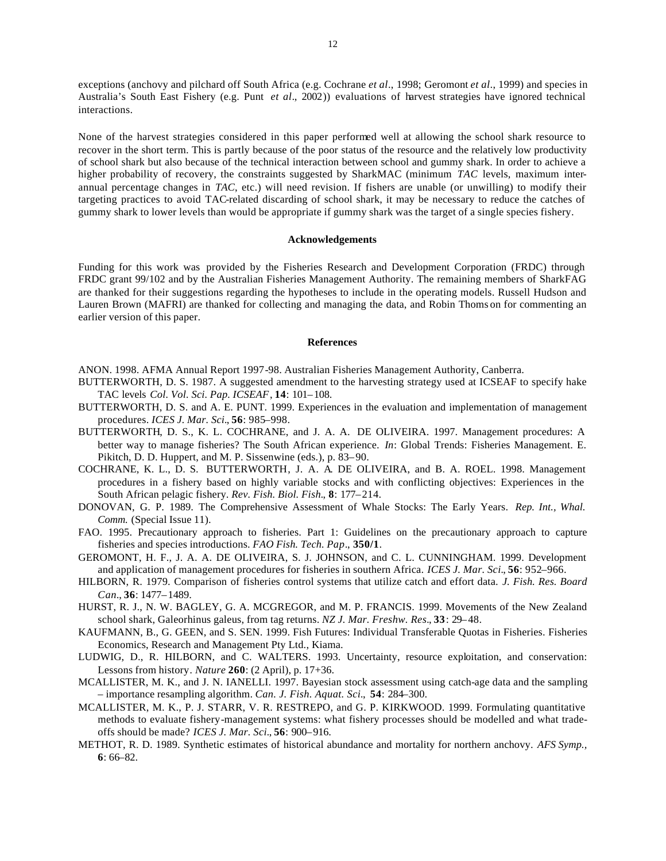exceptions (anchovy and pilchard off South Africa (e.g. Cochrane *et al*., 1998; Geromont *et al*., 1999) and species in Australia's South East Fishery (e.g. Punt *et al*., 2002)) evaluations of harvest strategies have ignored technical interactions.

None of the harvest strategies considered in this paper performed well at allowing the school shark resource to recover in the short term. This is partly because of the poor status of the resource and the relatively low productivity of school shark but also because of the technical interaction between school and gummy shark. In order to achieve a higher probability of recovery, the constraints suggested by SharkMAC (minimum *TAC* levels, maximum interannual percentage changes in *TAC*, etc.) will need revision. If fishers are unable (or unwilling) to modify their targeting practices to avoid TAC-related discarding of school shark, it may be necessary to reduce the catches of gummy shark to lower levels than would be appropriate if gummy shark was the target of a single species fishery.

# **Acknowledgements**

Funding for this work was provided by the Fisheries Research and Development Corporation (FRDC) through FRDC grant 99/102 and by the Australian Fisheries Management Authority. The remaining members of SharkFAG are thanked for their suggestions regarding the hypotheses to include in the operating models. Russell Hudson and Lauren Brown (MAFRI) are thanked for collecting and managing the data, and Robin Thoms on for commenting an earlier version of this paper.

### **References**

- ANON. 1998. AFMA Annual Report 1997-98. Australian Fisheries Management Authority, Canberra.
- BUTTERWORTH, D. S. 1987. A suggested amendment to the harvesting strategy used at ICSEAF to specify hake TAC levels *Col. Vol. Sci. Pap. ICSEAF*, **14**: 101–108.
- BUTTERWORTH, D. S. and A. E. PUNT. 1999. Experiences in the evaluation and implementation of management procedures. *ICES J. Mar. Sci.*, **56**: 985–998.
- BUTTERWORTH, D. S., K. L. COCHRANE, and J. A. A. DE OLIVEIRA. 1997. Management procedures: A better way to manage fisheries? The South African experience. *In*: Global Trends: Fisheries Management. E. Pikitch, D. D. Huppert, and M. P. Sissenwine (eds.), p. 83–90.
- COCHRANE, K. L., D. S. BUTTERWORTH, J. A. A. DE OLIVEIRA, and B. A. ROEL. 1998. Management procedures in a fishery based on highly variable stocks and with conflicting objectives: Experiences in the South African pelagic fishery. *Rev. Fish. Biol. Fish.*, **8**: 177–214.
- DONOVAN, G. P. 1989. The Comprehensive Assessment of Whale Stocks: The Early Years. *Rep. Int., Whal. Comm.* (Special Issue 11).
- FAO. 1995. Precautionary approach to fisheries. Part 1: Guidelines on the precautionary approach to capture fisheries and species introductions. *FAO Fish. Tech. Pap*., **350/1**.
- GEROMONT, H. F., J. A. A. DE OLIVEIRA, S. J. JOHNSON, and C. L. CUNNINGHAM. 1999. Development and application of management procedures for fisheries in southern Africa. *ICES J. Mar. Sci.*, **56**: 952–966.
- HILBORN, R. 1979. Comparison of fisheries control systems that utilize catch and effort data. *J. Fish. Res. Board Can.*, **36**: 1477–1489.
- HURST, R. J., N. W. BAGLEY, G. A. MCGREGOR, and M. P. FRANCIS. 1999. Movements of the New Zealand school shark, Galeorhinus galeus, from tag returns. *NZ J. Mar. Freshw. Res.*, **33**: 29–48.
- KAUFMANN, B., G. GEEN, and S. SEN. 1999. Fish Futures: Individual Transferable Quotas in Fisheries. Fisheries Economics, Research and Management Pty Ltd., Kiama.
- LUDWIG, D., R. HILBORN, and C. WALTERS. 1993. Uncertainty, resource exploitation, and conservation: Lessons from history*. Nature* **260**: (2 April), p. 17+36.
- MCALLISTER, M. K., and J. N. IANELLI. 1997. Bayesian stock assessment using catch-age data and the sampling – importance resampling algorithm. *Can. J. Fish. Aquat. Sci.*, **54**: 284–300.
- MCALLISTER, M. K., P. J. STARR, V. R. RESTREPO, and G. P. KIRKWOOD. 1999. Formulating quantitative methods to evaluate fishery-management systems: what fishery processes should be modelled and what tradeoffs should be made? *ICES J. Mar. Sci.*, **56**: 900–916.
- METHOT, R. D. 1989. Synthetic estimates of historical abundance and mortality for northern anchovy. *AFS Symp.,* **6**: 66–82.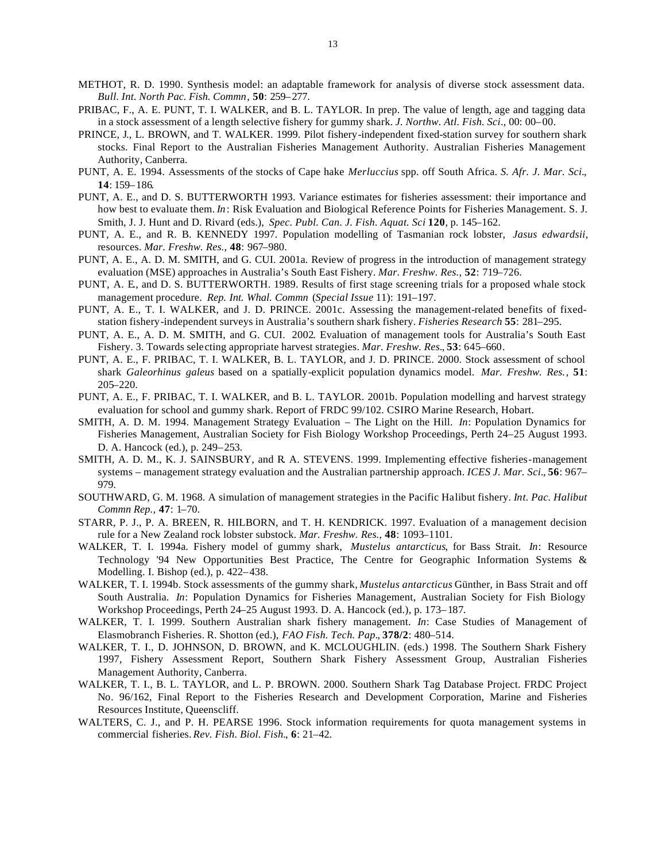- METHOT, R. D. 1990. Synthesis model: an adaptable framework for analysis of diverse stock assessment data. *Bull. Int. North Pac. Fish. Commn*, **50**: 259–277.
- PRIBAC, F., A. E. PUNT, T. I. WALKER, and B. L. TAYLOR. In prep. The value of length, age and tagging data in a stock assessment of a length selective fishery for gummy shark. *J. Northw. Atl. Fish. Sci*., 00: 00–00.
- PRINCE, J., L. BROWN, and T. WALKER. 1999. Pilot fishery-independent fixed-station survey for southern shark stocks. Final Report to the Australian Fisheries Management Authority. Australian Fisheries Management Authority, Canberra.
- PUNT, A. E. 1994. Assessments of the stocks of Cape hake *Merluccius* spp. off South Africa. *S. Afr. J. Mar. Sci.*, **14**: 159–186*.*
- PUNT, A. E., and D. S. BUTTERWORTH 1993. Variance estimates for fisheries assessment: their importance and how best to evaluate them. *In*: Risk Evaluation and Biological Reference Points for Fisheries Management. S. J. Smith, J. J. Hunt and D. Rivard (eds.), *Spec. Publ. Can. J. Fish. Aquat. Sci* **120**, p. 145–162.
- PUNT, A. E., and R. B. KENNEDY 1997. Population modelling of Tasmanian rock lobster, *Jasus edwardsii*, resources. *Mar. Freshw. Res.*, **48**: 967–980.
- PUNT, A. E., A. D. M. SMITH, and G. CUI. 2001a. Review of progress in the introduction of management strategy evaluation (MSE) approaches in Australia's South East Fishery. *Mar. Freshw. Res.*, **52**: 719–726.
- PUNT, A. E., and D. S. BUTTERWORTH. 1989. Results of first stage screening trials for a proposed whale stock management procedure. *Rep. Int. Whal. Commn* (*Special Issue* 11): 191–197.
- PUNT, A. E., T. I. WALKER, and J. D. PRINCE. 2001c. Assessing the management-related benefits of fixedstation fishery-independent surveys in Australia's southern shark fishery. *Fisheries Research* **55**: 281–295.
- PUNT, A. E., A. D. M. SMITH, and G. CUI. 2002. Evaluation of management tools for Australia's South East Fishery. 3. Towards selecting appropriate harvest strategies. *Mar. Freshw. Res.*, **53**: 645–660.
- PUNT, A. E., F. PRIBAC, T. I. WALKER, B. L. TAYLOR, and J. D. PRINCE. 2000. Stock assessment of school shark *Galeorhinus galeus* based on a spatially-explicit population dynamics model. *Mar. Freshw. Res.*, **51**: 205–220.
- PUNT, A. E., F. PRIBAC, T. I. WALKER, and B. L. TAYLOR. 2001b. Population modelling and harvest strategy evaluation for school and gummy shark. Report of FRDC 99/102. CSIRO Marine Research, Hobart.
- SMITH, A. D. M. 1994. Management Strategy Evaluation The Light on the Hill. *In*: Population Dynamics for Fisheries Management, Australian Society for Fish Biology Workshop Proceedings, Perth 24–25 August 1993. D. A. Hancock (ed.), p. 249–253.
- SMITH, A. D. M., K. J. SAINSBURY, and R. A. STEVENS. 1999. Implementing effective fisheries-management systems – management strategy evaluation and the Australian partnership approach. *ICES J. Mar. Sci.*, **56**: 967– 979.
- SOUTHWARD, G. M. 1968. A simulation of management strategies in the Pacific Halibut fishery. *Int. Pac. Halibut Commn Rep.,* **47**: 1–70.
- STARR, P. J., P. A. BREEN, R. HILBORN, and T. H. KENDRICK. 1997. Evaluation of a management decision rule for a New Zealand rock lobster substock. *Mar. Freshw. Res.*, **48**: 1093–1101.
- WALKER, T. I. 1994a. Fishery model of gummy shark, *Mustelus antarcticus*, for Bass Strait. *In*: Resource Technology '94 New Opportunities Best Practice, The Centre for Geographic Information Systems & Modelling. I. Bishop (ed.), p. 422–438.
- WALKER, T. I. 1994b. Stock assessments of the gummy shark, *Mustelus antarcticus* Günther, in Bass Strait and off South Australia. *In*: Population Dynamics for Fisheries Management, Australian Society for Fish Biology Workshop Proceedings, Perth 24–25 August 1993. D. A. Hancock (ed.), p. 173–187.
- WALKER, T. I. 1999. Southern Australian shark fishery management. *In*: Case Studies of Management of Elasmobranch Fisheries. R. Shotton (ed.), *FAO Fish. Tech. Pap.*, **378/2**: 480–514.
- WALKER, T. I., D. JOHNSON, D. BROWN, and K. MCLOUGHLIN. (eds.) 1998. The Southern Shark Fishery 1997, Fishery Assessment Report, Southern Shark Fishery Assessment Group, Australian Fisheries Management Authority, Canberra.
- WALKER, T. I., B. L. TAYLOR, and L. P. BROWN. 2000. Southern Shark Tag Database Project. FRDC Project No. 96/162, Final Report to the Fisheries Research and Development Corporation, Marine and Fisheries Resources Institute, Queenscliff.
- WALTERS, C. J., and P. H. PEARSE 1996. Stock information requirements for quota management systems in commercial fisheries. *Rev. Fish. Biol. Fish.*, **6**: 21–42.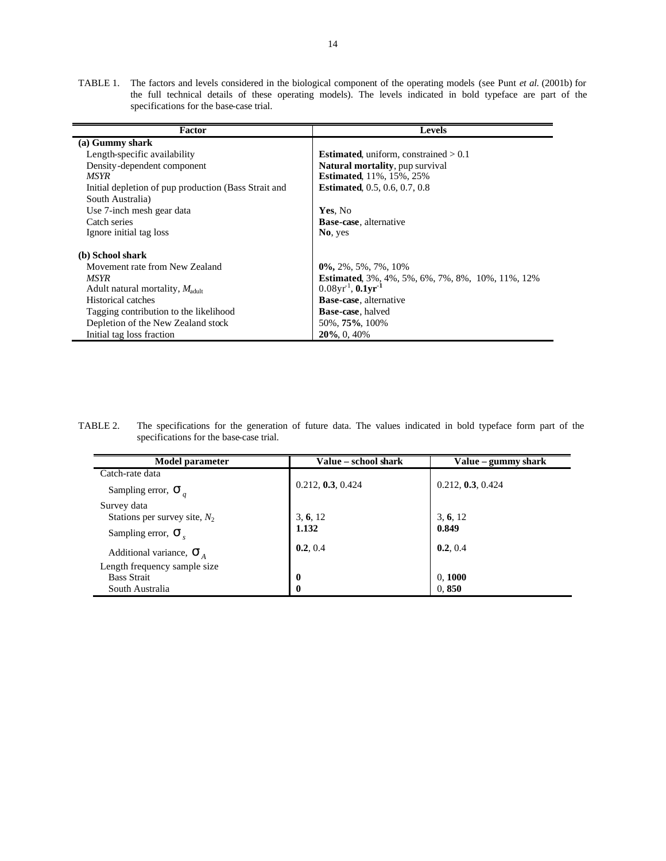TABLE 1. The factors and levels considered in the biological component of the operating models (see Punt *et al*. (2001b) for the full technical details of these operating models). The levels indicated in bold typeface are part of the specifications for the base-case trial.

| <b>Factor</b>                                        | <b>Levels</b>                                           |
|------------------------------------------------------|---------------------------------------------------------|
| (a) Gummy shark                                      |                                                         |
| Length-specific availability                         | <b>Estimated,</b> uniform, constrained $> 0.1$          |
| Density-dependent component                          | <b>Natural mortality, pup survival</b>                  |
| MSYR                                                 | <b>Estimated, 11%, 15%, 25%</b>                         |
| Initial depletion of pup production (Bass Strait and | <b>Estimated, 0.5, 0.6, 0.7, 0.8</b>                    |
| South Australia)                                     |                                                         |
| Use 7-inch mesh gear data                            | Yes, No                                                 |
| Catch series                                         | <b>Base-case</b> , alternative                          |
| Ignore initial tag loss                              | No, yes                                                 |
| (b) School shark                                     |                                                         |
| Movement rate from New Zealand                       | $0\%$ , 2%, 5%, 7%, 10%                                 |
| MSYR                                                 | <b>Estimated,</b> 3%, 4%, 5%, 6%, 7%, 8%, 10%, 11%, 12% |
| Adult natural mortality, $M_{\text{adult}}$          | $0.08$ yr <sup>1</sup> , $0.1$ yr <sup>-1</sup>         |
| Historical catches                                   | <b>Base-case</b> , alternative                          |
| Tagging contribution to the likelihood               | <b>Base-case</b> , halved                               |
| Depletion of the New Zealand stock                   | 50%, 75%, 100%                                          |
| Initial tag loss fraction                            | $20\%$ , 0, 40%                                         |

TABLE 2. The specifications for the generation of future data. The values indicated in bold typeface form part of the specifications for the base-case trial.

| Model parameter                       | Value - school shark | Value – gummy shark |
|---------------------------------------|----------------------|---------------------|
| Catch-rate data                       |                      |                     |
| Sampling error, $\mathbf{S}_q$        | 0.212, 0.3, 0.424    | 0.212, 0.3, 0.424   |
| Survey data                           |                      |                     |
| Stations per survey site, $N_2$       | 3, 6, 12             | 3, 6, 12            |
| Sampling error, $S$ ,                 | 1.132                | 0.849               |
| Additional variance, $\mathbf{S}_{A}$ | 0.2, 0.4             | 0.2, 0.4            |
| Length frequency sample size          |                      |                     |
| <b>Bass Strait</b>                    | $\bf{0}$             | 0, 1000             |
| South Australia                       | $\bf{0}$             | 0,850               |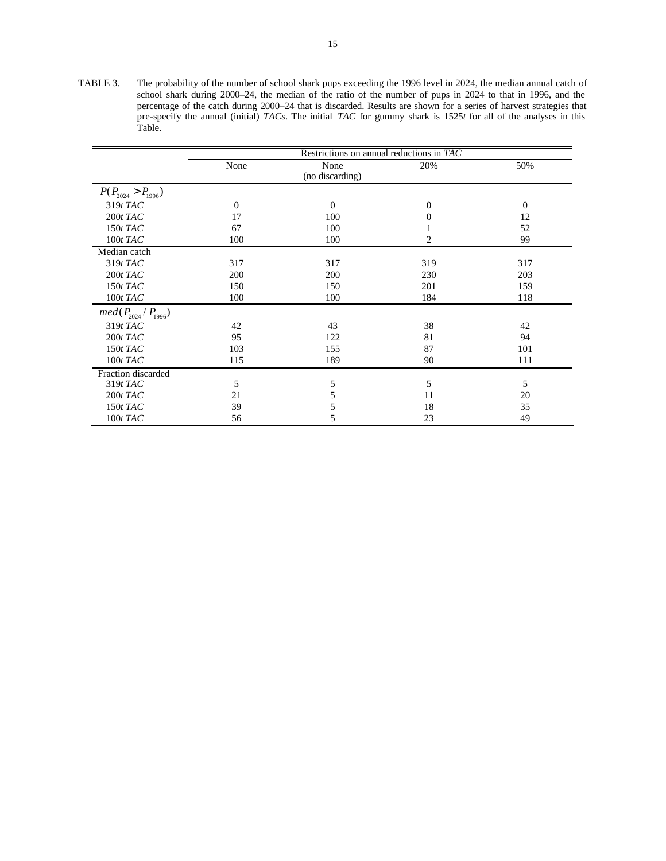TABLE 3. The probability of the number of school shark pups exceeding the 1996 level in 2024, the median annual catch of school shark during 2000–24, the median of the ratio of the number of pups in 2024 to that in 1996, and the percentage of the catch during 2000–24 that is discarded. Results are shown for a series of harvest strategies that pre-specify the annual (initial) *TACs*. The initial *TAC* for gummy shark is 1525*t* for all of the analyses in this Table.

|                            | Restrictions on annual reductions in TAC |                 |                |                |  |  |  |  |  |  |  |  |  |
|----------------------------|------------------------------------------|-----------------|----------------|----------------|--|--|--|--|--|--|--|--|--|
|                            | None                                     | None            | 20%            | 50%            |  |  |  |  |  |  |  |  |  |
|                            |                                          | (no discarding) |                |                |  |  |  |  |  |  |  |  |  |
| $P(P_{2024} > P_{1996})$   |                                          |                 |                |                |  |  |  |  |  |  |  |  |  |
| $319t$ TAC                 | $\theta$                                 | $\Omega$        | $\overline{0}$ | $\overline{0}$ |  |  |  |  |  |  |  |  |  |
| $200t$ TAC                 | 17                                       | 100             | $\theta$       | 12             |  |  |  |  |  |  |  |  |  |
| $150t$ TAC                 | 67                                       | 100             |                | 52             |  |  |  |  |  |  |  |  |  |
| $100t$ TAC                 | 100                                      | 100             | 2              | 99             |  |  |  |  |  |  |  |  |  |
| Median catch               |                                          |                 |                |                |  |  |  |  |  |  |  |  |  |
| $319t$ TAC                 | 317                                      | 317             | 319            | 317            |  |  |  |  |  |  |  |  |  |
| $200t$ TAC                 | 200                                      | 200             | 230            | 203            |  |  |  |  |  |  |  |  |  |
| $150t$ TAC                 | 150                                      | 150             | 201            | 159            |  |  |  |  |  |  |  |  |  |
| $100t$ TAC                 | 100                                      | 100             | 184            | 118            |  |  |  |  |  |  |  |  |  |
| $med(P_{2024} / P_{1996})$ |                                          |                 |                |                |  |  |  |  |  |  |  |  |  |
| $319t$ TAC                 | 42                                       | 43              | 38             | 42             |  |  |  |  |  |  |  |  |  |
| $200t$ TAC                 | 95                                       | 122             | 81             | 94             |  |  |  |  |  |  |  |  |  |
| $150t$ TAC                 | 103                                      | 155             | 87             | 101            |  |  |  |  |  |  |  |  |  |
| $100t$ TAC                 | 115                                      | 189             | 90             | 111            |  |  |  |  |  |  |  |  |  |
| Fraction discarded         |                                          |                 |                |                |  |  |  |  |  |  |  |  |  |
| $319t$ TAC                 | 5                                        | 5               | 5              | 5              |  |  |  |  |  |  |  |  |  |
| $200t$ TAC                 | 21                                       | 5               | 11             | 20             |  |  |  |  |  |  |  |  |  |
| $150t$ TAC                 | 39                                       | 5               | 18             | 35             |  |  |  |  |  |  |  |  |  |
| $100t$ TAC                 | 56                                       | 5               | 23             | 49             |  |  |  |  |  |  |  |  |  |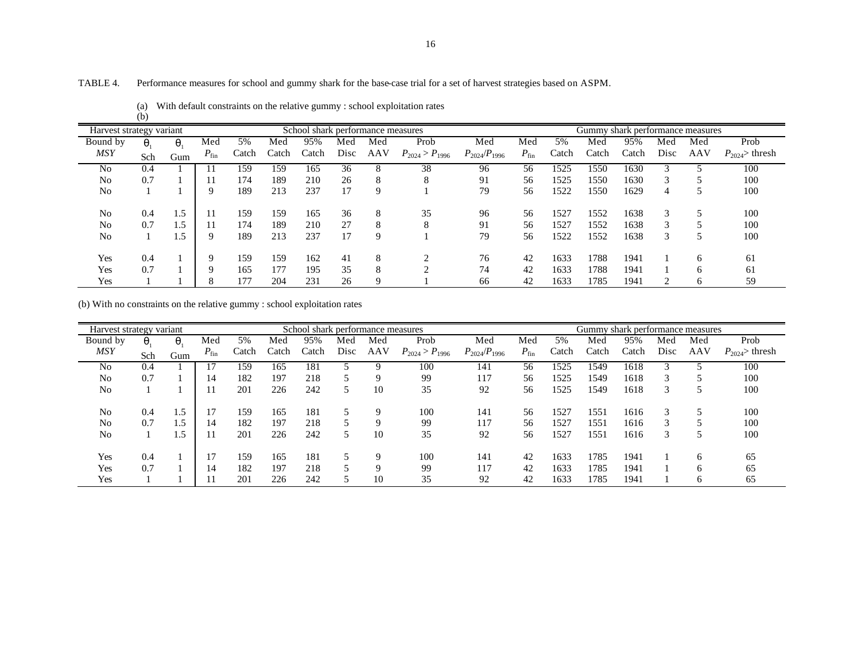# TABLE 4. Performance measures for school and gummy shark for the base-case trial for a set of harvest strategies based on ASPM.

|                          | (b)     |         |               |       |       |                                   |      |             |                       |                     |           |       |       |                                  |      |              |                   |
|--------------------------|---------|---------|---------------|-------|-------|-----------------------------------|------|-------------|-----------------------|---------------------|-----------|-------|-------|----------------------------------|------|--------------|-------------------|
| Harvest strategy variant |         |         |               |       |       | School shark performance measures |      |             |                       |                     |           |       |       | Gummy shark performance measures |      |              |                   |
| Bound by                 | $q_{1}$ | $q_{1}$ | Med           | 5%    | Med   | 95%                               | Med  | Med         | Prob                  | Med                 | Med       | 5%    | Med   | 95%                              | Med  | Med          | Prob              |
| <b>MSY</b>               | Sch     | Gum     | $P_{\rm fin}$ | Catch | Catch | Catch                             | Disc | AAV         | $P_{2024} > P_{1996}$ | $P_{2024}/P_{1996}$ | $P_{fin}$ | Catch | Catch | Catch                            | Disc | AAV          | $P_{2024}$ thresh |
| N <sub>0</sub>           | 0.4     |         |               | 159   | 159   | 165                               | 36   |             | 38                    | 96                  | 56        | 1525  | 1550  | 1630                             |      |              | 100               |
| No                       | 0.7     |         | 11            | 174   | 189   | 210                               | 26   | 8           | 8                     | 91                  | 56        | 1525  | 1550  | 1630                             | 3    |              | 100               |
| No                       |         |         | 9             | 189   | 213   | 237                               | 17   | 9           |                       | 79                  | 56        | 1522  | 1550  | 1629                             | 4    |              | 100               |
| No                       | 0.4     | 1.5     | 11            | 159   | 159   | 165                               | 36   | 8           | 35                    | 96                  | 56        | 1527  | 1552  | 1638                             | 3    |              | 100               |
| No                       | 0.7     | . . 5   | 11            | 174   | 189   | 210                               | 27   |             | 8                     | 91                  | 56        | 1527  | 1552  | 1638                             | 3    |              | 100               |
| No                       |         | 1.5     | 9             | 189   | 213   | 237                               | 17   | 9           |                       | 79                  | 56        | 1522  | 1552  | 1638                             | 3    | C            | 100               |
| Yes                      | 0.4     |         | 9             | 159   | 159   | 162                               | 41   |             |                       | 76                  | 42        | 1633  | 1788  | 1941                             |      | <sub>6</sub> | 61                |
| Yes                      | 0.7     |         | 9             | 165   | 177   | 195                               | 35   | 8           |                       | 74                  | 42        | 1633  | 1788  | 1941                             |      | <sub>0</sub> | 61                |
| Yes                      |         |         | 8             | 177   | 204   | 231                               | 26   | $\mathbf Q$ |                       | 66                  | 42        | 1633  | 1785  | 1941                             | 2    | 6            | 59                |

|  | (a) With default constraints on the relative gummy : school exploitation rates |  |  |  |  |  |  |
|--|--------------------------------------------------------------------------------|--|--|--|--|--|--|
|--|--------------------------------------------------------------------------------|--|--|--|--|--|--|

(b) With no constraints on the relative gummy : school exploitation rates

| Harvest strategy variant |         |         |           |       |       | School shark performance measures |      |     |                       |                     |           |       | Gummy shark performance measures |       |      |     |                   |
|--------------------------|---------|---------|-----------|-------|-------|-----------------------------------|------|-----|-----------------------|---------------------|-----------|-------|----------------------------------|-------|------|-----|-------------------|
| Bound by                 | $q_{1}$ | $q_{1}$ | Med       | 5%    | Med   | 95%                               | Med  | Med | Prob                  | Med                 | Med       | 5%    | Med                              | 95%   | Med  | Med | Prob              |
| <b>MSY</b>               | Sch     | Gum     | $P_{fin}$ | Catch | Catch | Catch                             | Disc | AAV | $P_{2024} > P_{1996}$ | $P_{2024}/P_{1996}$ | $P_{fin}$ | Catch | Catch                            | Catch | Disc | AAV | $P_{2024}$ thresh |
| No                       | 0.4     |         |           | 159   | 165   | 181                               |      |     | 100                   | 141                 | 56        | 1525  | 1549                             | 1618  |      |     | 100               |
| No                       | 0.7     |         | 14        | 182   | 197   | 218                               | 5    | Q   | 99                    | 117                 | 56        | 1525  | 1549                             | 1618  | 3    |     | 100               |
| N <sub>0</sub>           |         |         | 11        | 201   | 226   | 242                               | 5    | 10  | 35                    | 92                  | 56        | 1525  | 1549                             | 1618  | 3    |     | 100               |
| N <sub>0</sub>           | 0.4     | 1.5     | 17        | 159   | 165   | 181                               | 5    | 9   | 100                   | 141                 | 56        | 1527  | 1551                             | 1616  | 3    | 5   | 100               |
| No                       | 0.7     | 1.5     | 14        | 182   | 197   | 218                               | 5    | 9   | 99                    | 117                 | 56        | 1527  | 1551                             | 1616  | 3    |     | 100               |
| N <sub>0</sub>           |         | 1.5     |           | 201   | 226   | 242                               | 5    | 10  | 35                    | 92                  | 56        | 1527  | 1551                             | 1616  | 3    |     | 100               |
| Yes                      | 0.4     |         | 17        | 159   | 165   | 181                               | 5    | 9   | 100                   | 141                 | 42        | 1633  | 1785                             | 1941  |      | 6   | 65                |
| Yes                      | 0.7     |         | 14        | 182   | 197   | 218                               | 5    | 9   | 99                    | 117                 | 42        | 1633  | 1785                             | 1941  |      | 6   | 65                |
| Yes                      |         |         | 11        | 201   | 226   | 242                               | ς    | 10  | 35                    | 92                  | 42        | 1633  | 1785                             | 1941  |      | 6   | 65                |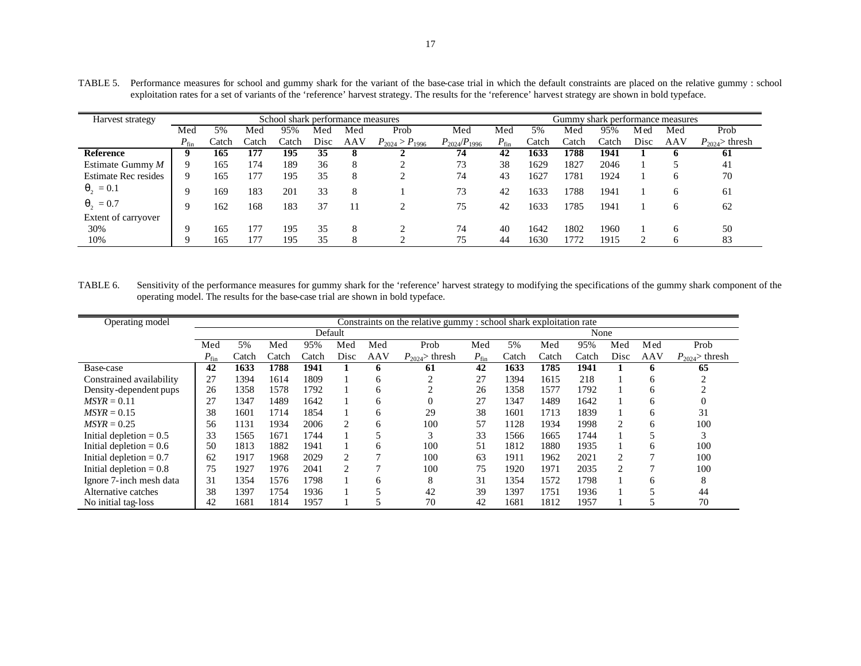| Harvest strategy            |           |       |       | School shark performance measures |      |     |                       |                     | Gummy shark performance measures |       |       |       |      |              |                   |  |
|-----------------------------|-----------|-------|-------|-----------------------------------|------|-----|-----------------------|---------------------|----------------------------------|-------|-------|-------|------|--------------|-------------------|--|
|                             | Med       | 5%    | Med   | 95%                               | Med  | Med | Prob                  | Med                 | Med                              | 5%    | Med   | 95%   | M ed | Med          | Prob              |  |
|                             | $P_{fin}$ | Catch | Catch | Catch                             | Disc | AAV | $P_{2024} > P_{1996}$ | $P_{2024}/P_{1996}$ | $P_{fin}$                        | Catch | Catch | Catch | Disc | AAV          | $P_{2024}$ thresh |  |
| <b>Reference</b>            |           | 165   | 177   | 195                               | 35   | 8   |                       | 74                  | 42                               | 1633  | 1788  | 1941  |      |              | -61               |  |
| Estimate Gummy $M$          | Q.        | 165   | 174   | 189                               | 36   | 8   | ◠                     | 73                  | 38                               | 1629  | 1827  | 2046  |      |              | 41                |  |
| <b>Estimate Rec resides</b> | 9         | 165   | 177   | 195                               | 35   | 8   | ◠                     | 74                  | 43                               | 1627  | 1781  | 1924  |      | <sub>0</sub> | 70                |  |
| $q_2 = 0.1$                 | Q         | 169   | 183   | 201                               | 33   | 8   |                       | 73                  | 42                               | 1633  | 1788  | 1941  |      | 6            | 61                |  |
| $q_2 = 0.7$                 | Q         | 162   | 168   | 183                               | 37   | 11  | ◠                     | 75                  | 42                               | 1633  | 1785  | 1941  |      | 6            | 62                |  |
| Extent of carryover         |           |       |       |                                   |      |     |                       |                     |                                  |       |       |       |      |              |                   |  |
| 30%                         | Q         | 165   | 177   | 195                               | 35   | 8   | ◠                     | 74                  | 40                               | 1642  | 1802  | 1960  |      | <sub>6</sub> | 50                |  |
| 10%                         |           | 165   | 177   | 195                               | 35   | 8   |                       | 75                  | 44                               | 1630  | 1772  | 1915  |      | h            | 83                |  |

TABLE 5. Performance measures for school and gummy shark for the variant of the base-case trial in which the default constraints are placed on the relative gummy : school exploitation rates for a set of variants of the 'reference' harvest strategy. The results for the 'reference' harvest strategy are shown in bold typeface.

TABLE 6. Sensitivity of the performance measures for gummy shark for the 'reference' harvest strategy to modifying the specifications of the gummy shark component of the operating model. The results for the base-case trial are shown in bold typeface.

| Operating model           | Constraints on the relative gummy: school shark exploitation rate |       |       |       |                |     |                   |           |       |       |       |      |              |                   |  |
|---------------------------|-------------------------------------------------------------------|-------|-------|-------|----------------|-----|-------------------|-----------|-------|-------|-------|------|--------------|-------------------|--|
|                           |                                                                   |       |       |       | Default        |     |                   |           |       |       | None  |      |              |                   |  |
|                           | Med                                                               | 5%    | Med   | 95%   | Med            | Med | Prob              | Med       | 5%    | Med   | 95%   | Med  | Med          | Prob              |  |
|                           | $P_{fin}$                                                         | Catch | Catch | Catch | Disc           | AAV | $P_{2024}$ thresh | $P_{fin}$ | Catch | Catch | Catch | Disc | AAV          | $P_{2024}$ thresh |  |
| Base-case                 | 42                                                                | 1633  | 1788  | 1941  |                | o   | 61                | 42        | 1633  | 1785  | 1941  |      | 6            | 65                |  |
| Constrained availability  | 27                                                                | 1394  | 1614  | 1809  |                | 6   |                   | 27        | 1394  | 1615  | 218   |      | <sub>(</sub> |                   |  |
| Density-dependent pups    | 26                                                                | 1358  | 1578  | 1792  |                | 6   |                   | 26        | 1358  | 1577  | 1792  |      | <sub>(</sub> |                   |  |
| $MSYR = 0.11$             | 27                                                                | 1347  | 1489  | 1642  |                | 6   |                   | 27        | 1347  | 1489  | 1642  |      | O            |                   |  |
| $MSYR = 0.15$             | 38                                                                | 1601  | 1714  | 1854  |                | 6   | 29                | 38        | 1601  | 1713  | 1839  |      | <sub>0</sub> | 31                |  |
| $MSYR = 0.25$             | 56                                                                | 1131  | 1934  | 2006  | $\overline{c}$ | 6   | 100               | 57        | 1128  | 1934  | 1998  |      | 6            | 100               |  |
| Initial depletion $= 0.5$ | 33                                                                | 1565  | 1671  | 1744  |                |     | ◠                 | 33        | 1566  | 1665  | 1744  |      |              | 3                 |  |
| Initial depletion $= 0.6$ | 50                                                                | 1813  | 1882  | 1941  |                | 6   | 100               | 51        | 1812  | 1880  | 1935  |      | h            | 100               |  |
| Initial depletion $= 0.7$ | 62                                                                | 1917  | 1968  | 2029  | $\overline{c}$ |     | 100               | 63        | 1911  | 1962  | 2021  | ◠    |              | 100               |  |
| Initial depletion $= 0.8$ | 75                                                                | 1927  | 1976  | 2041  | 2              |     | 100               | 75        | 1920  | 1971  | 2035  |      |              | 100               |  |
| Ignore 7-inch mesh data   | 31                                                                | 1354  | 1576  | 1798  |                | 6   | 8                 | 31        | 1354  | 1572  | 1798  |      | <sub>(</sub> | 8                 |  |
| Alternative catches       | 38                                                                | 1397  | 1754  | 1936  |                |     | 42                | 39        | 1397  | 1751  | 1936  |      |              | 44                |  |
| No initial tag-loss       | 42                                                                | 1681  | 1814  | 1957  |                |     | 70                | 42        | 1681  | 1812  | 1957  |      |              | 70                |  |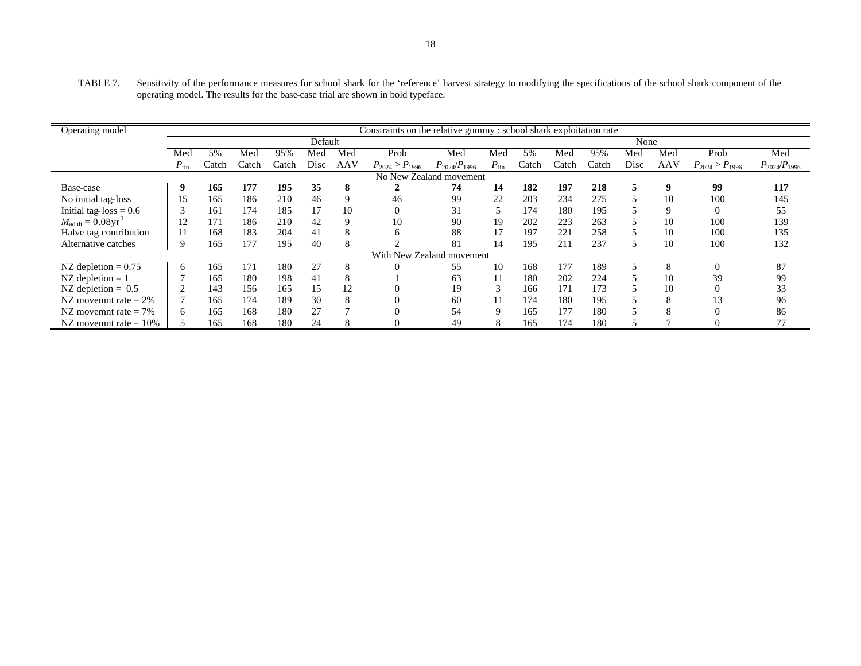TABLE 7. Sensitivity of the performance measures for school shark for the 'reference' harvest strategy to modifying the specifications of the school shark component of the operating model. The results for the base-case trial are shown in bold typeface.

| Operating model                       | Constraints on the relative gummy : school shark exploitation rate |       |       |       |         |     |                           |                     |             |       |       |       |      |     |                       |                     |
|---------------------------------------|--------------------------------------------------------------------|-------|-------|-------|---------|-----|---------------------------|---------------------|-------------|-------|-------|-------|------|-----|-----------------------|---------------------|
|                                       |                                                                    |       |       |       | Default |     |                           |                     |             |       |       |       | None |     |                       |                     |
|                                       | Med                                                                | 5%    | Med   | 95%   | Med     | Med | Prob                      | Med                 | Med         | 5%    | Med   | 95%   | Med  | Med | Prob                  | Med                 |
|                                       | $P_{fin}$                                                          | Catch | Catch | Catch | Disc    | AAV | $P_{2024} > P_{1996}$     | $P_{2024}/P_{1996}$ | $P_{fin}$   | Catch | Catch | Catch | Disc | AAV | $P_{2024} > P_{1996}$ | $P_{2024}/P_{1996}$ |
|                                       |                                                                    |       |       |       |         |     | No New Zealand movement   |                     |             |       |       |       |      |     |                       |                     |
| Base-case                             |                                                                    | 165   | 177   | 195   | 35      | 8   |                           | 74                  | 14          | 182   | 197   | 218   | 5    | 9   | 99                    | 117                 |
| No initial tag-loss                   | 15                                                                 | 165   | 186   | 210   | 46      | 9   | 46                        | 99                  | 22          | 203   | 234   | 275   |      | 10  | 100                   | 145                 |
| Initial tag- $loss = 0.6$             |                                                                    | 161   | 174   | 185   | 17      | 10  | $\theta$                  | 31                  |             | 174   | 180   | 195   |      | 9   | $\Omega$              | 55                  |
| $M_{\text{adult}} = 0.08 \text{yr}^1$ | $\overline{2}$                                                     | 171   | 186   | 210   | 42      | 9   | 10                        | 90                  | 19          | 202   | 223   | 263   |      | 10  | 100                   | 139                 |
| Halve tag contribution                |                                                                    | 168   | 183   | 204   | 41      | 8   | 6                         | 88                  | 17          | 197   | 221   | 258   |      | 10  | 100                   | 135                 |
| Alternative catches                   |                                                                    | 165   | 177   | 195   | 40      | 8   |                           | 81                  | 14          | 195   | 211   | 237   | ר    | 10  | 100                   | 132                 |
|                                       |                                                                    |       |       |       |         |     | With New Zealand movement |                     |             |       |       |       |      |     |                       |                     |
| NZ depletion $= 0.75$                 | 6                                                                  | 165   | 171   | 180   | 27      | 8   |                           | 55                  | 10          | 168   | 177   | 189   |      | 8   | $\Omega$              | 87                  |
| NZ depletion $= 1$                    |                                                                    | 165   | 180   | 198   | 41      | 8   |                           | 63                  | 11          | 180   | 202   | 224   |      | 10  | 39                    | 99                  |
| NZ depletion $= 0.5$                  |                                                                    | 143   | 156   | 165   | 15      | 12  |                           | 19                  |             | 166   | 171   | 173   |      | 10  |                       | 33                  |
| NZ movemnt rate $= 2\%$               |                                                                    | 165   | 174   | 189   | 30      | 8   |                           | 60                  |             | 174   | 180   | 195   |      | 8   | 13                    | 96                  |
| NZ movemnt rate $= 7\%$               | 6                                                                  | 165   | 168   | 180   | 27      |     |                           | 54                  | $\mathbf Q$ | 165   | 177   | 180   |      | 8   | $\Omega$              | 86                  |
| NZ movemnt rate $= 10\%$              |                                                                    | 165   | 168   | 180   | 24      | 8   |                           | 49                  | 8           | 165   | 174   | 180   |      |     |                       | 77                  |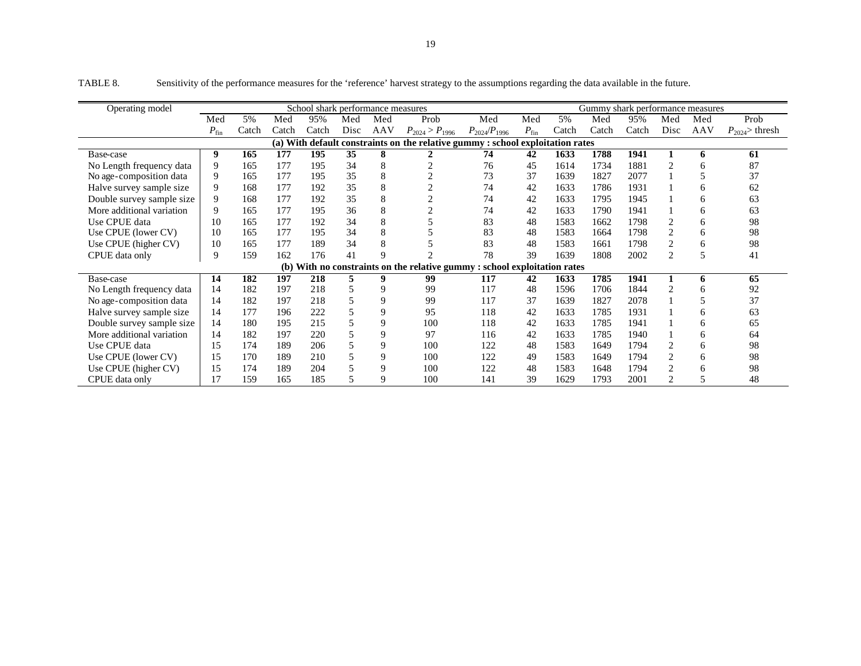| Operating model           |           |       |       | School shark performance measures |      |     |                                                                                |                     |           |       | Gummy shark performance measures |       |                |     |                   |
|---------------------------|-----------|-------|-------|-----------------------------------|------|-----|--------------------------------------------------------------------------------|---------------------|-----------|-------|----------------------------------|-------|----------------|-----|-------------------|
|                           | Med       | 5%    | Med   | 95%                               | Med  | Med | Prob                                                                           | Med                 | Med       | 5%    | Med                              | 95%   | Med            | Med | Prob              |
|                           | $P_{fin}$ | Catch | Catch | Catch                             | Disc | AAV | $P_{2024} > P_{1996}$                                                          | $P_{2024}/P_{1996}$ | $P_{fin}$ | Catch | Catch                            | Catch | Disc           | AAV | $P_{2024}$ thresh |
|                           |           |       |       |                                   |      |     | (a) With default constraints on the relative gummy : school exploitation rates |                     |           |       |                                  |       |                |     |                   |
| Base-case                 | 9         | 165   | 177   | 195                               | 35   | 8   |                                                                                | 74                  | 42        | 1633  | 1788                             | 1941  |                | 6   | 61                |
| No Length frequency data  | 9         | 165   | 177   | 195                               | 34   | 8   |                                                                                | 76                  | 45        | 1614  | 1734                             | 1881  | $\overline{c}$ | h   | 87                |
| No age-composition data   | 9         | 165   | 177   | 195                               | 35   | 8   |                                                                                | 73                  | 37        | 1639  | 1827                             | 2077  |                |     | 37                |
| Halve survey sample size  | 9         | 168   | 177   | 192                               | 35   | 8   |                                                                                | 74                  | 42        | 1633  | 1786                             | 1931  |                | 6   | 62                |
| Double survey sample size | 9         | 168   | 177   | 192                               | 35   | 8   |                                                                                | 74                  | 42        | 1633  | 1795                             | 1945  |                | 6   | 63                |
| More additional variation | 9         | 165   | 177   | 195                               | 36   | 8   |                                                                                | 74                  | 42        | 1633  | 1790                             | 1941  |                | 6   | 63                |
| Use CPUE data             | 10        | 165   | 177   | 192                               | 34   | 8   |                                                                                | 83                  | 48        | 1583  | 1662                             | 1798  | 2              | 6   | 98                |
| Use CPUE (lower CV)       | 10        | 165   | 177   | 195                               | 34   | 8   |                                                                                | 83                  | 48        | 1583  | 1664                             | 1798  | $\overline{2}$ | 6   | 98                |
| Use CPUE (higher CV)      | 10        | 165   | 177   | 189                               | 34   | 8   |                                                                                | 83                  | 48        | 1583  | 1661                             | 1798  | $\overline{2}$ | 6   | 98                |
| CPUE data only            | 9         | 159   | 162   | 176                               | 41   | q   |                                                                                | 78                  | 39        | 1639  | 1808                             | 2002  | $\overline{2}$ |     | 41                |
|                           |           |       |       |                                   |      |     | (b) With no constraints on the relative gummy : school exploitation rates      |                     |           |       |                                  |       |                |     |                   |
| Base-case                 | 14        | 182   | 197   | 218                               |      | 9   | 99                                                                             | 117                 | 42        | 1633  | 1785                             | 1941  |                | 6   | 65                |
| No Length frequency data  | 14        | 182   | 197   | 218                               |      | 9   | 99                                                                             | 117                 | 48        | 1596  | 1706                             | 1844  | $\overline{2}$ | h   | 92                |
| No age-composition data   | 14        | 182   | 197   | 218                               |      | 9   | 99                                                                             | 117                 | 37        | 1639  | 1827                             | 2078  |                |     | 37                |
| Halve survey sample size  | 14        | 177   | 196   | 222                               | 5    | 9   | 95                                                                             | 118                 | 42        | 1633  | 1785                             | 1931  |                | 6   | 63                |
| Double survey sample size | 14        | 180   | 195   | 215                               |      | 9   | 100                                                                            | 118                 | 42        | 1633  | 1785                             | 1941  |                | 6   | 65                |
| More additional variation | 14        | 182   | 197   | 220                               |      | 9   | 97                                                                             | 116                 | 42        | 1633  | 1785                             | 1940  |                | 6   | 64                |
| Use CPUE data             | 15        | 174   | 189   | 206                               |      | 9   | 100                                                                            | 122                 | 48        | 1583  | 1649                             | 1794  | 2              | 6   | 98                |
| Use CPUE (lower CV)       | 15        | 170   | 189   | 210                               |      | 9   | 100                                                                            | 122                 | 49        | 1583  | 1649                             | 1794  | $\overline{2}$ | 6   | 98                |
| Use CPUE (higher CV)      | 15        | 174   | 189   | 204                               |      | 9   | 100                                                                            | 122                 | 48        | 1583  | 1648                             | 1794  | $\overline{2}$ | 6   | 98                |
| CPUE data only            | 17        | 159   | 165   | 185                               |      | 9   | 100                                                                            | 141                 | 39        | 1629  | 1793                             | 2001  | $\overline{2}$ |     | 48                |

TABLE 8. Sensitivity of the performance measures for the 'reference' harvest strategy to the assumptions regarding the data available in the future.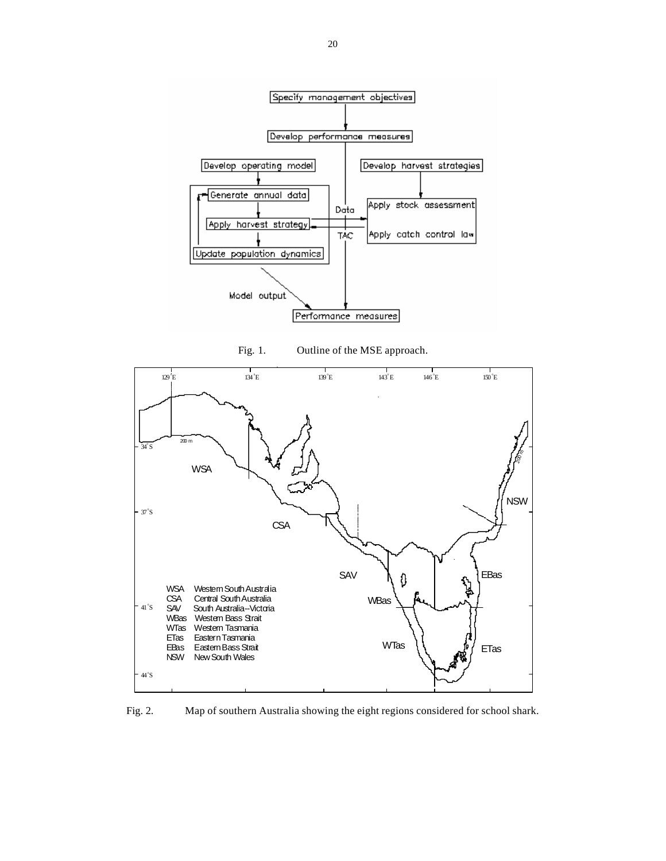

Fig. 1. Outline of the MSE approach.



Fig. 2. Map of southern Australia showing the eight regions considered for school shark.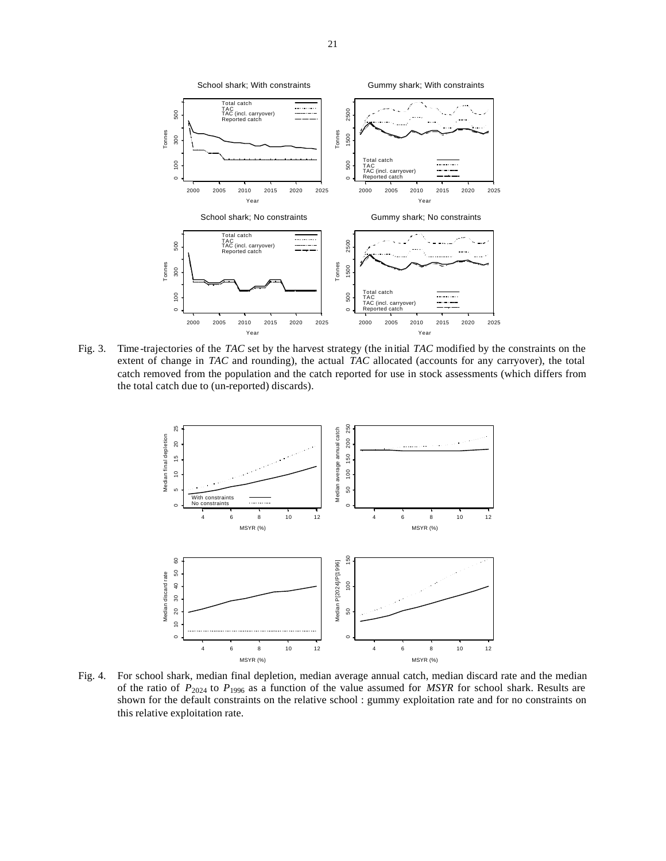

Fig. 3. Time -trajectories of the *TAC* set by the harvest strategy (the initial *TAC* modified by the constraints on the extent of change in *TAC* and rounding), the actual *TAC* allocated (accounts for any carryover), the total catch removed from the population and the catch reported for use in stock assessments (which differs from the total catch due to (un-reported) discards).



Fig. 4. For school shark, median final depletion, median average annual catch, median discard rate and the median of the ratio of *P*2024 to *P*1996 as a function of the value assumed for *MSYR* for school shark. Results are shown for the default constraints on the relative school : gummy exploitation rate and for no constraints on this relative exploitation rate.